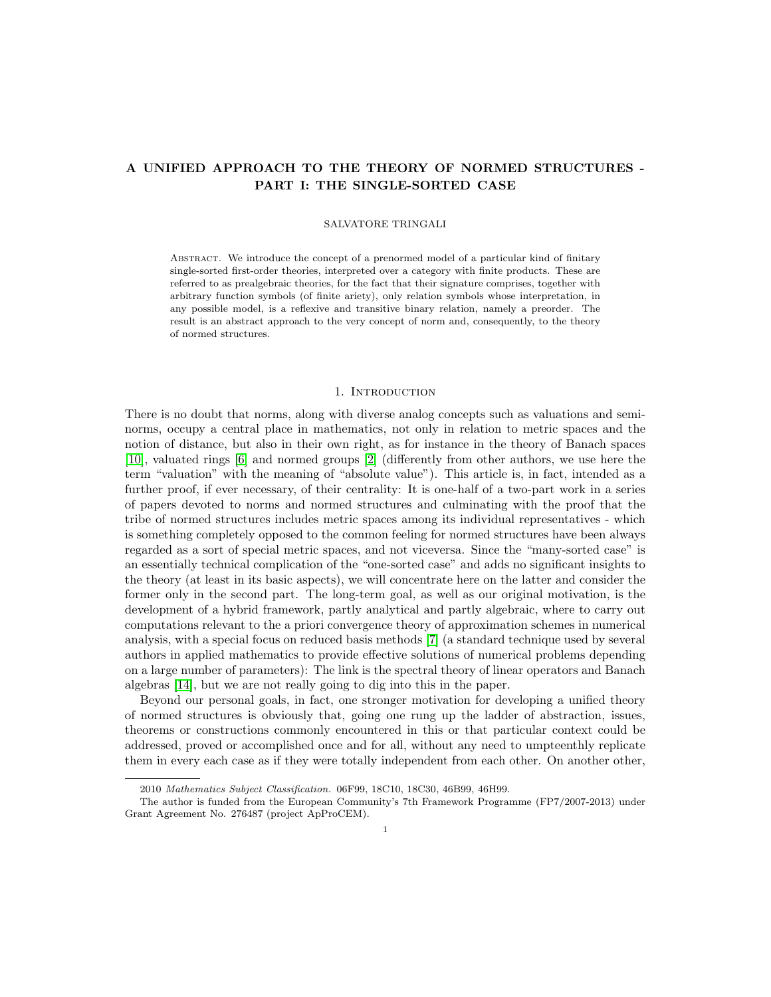# A UNIFIED APPROACH TO THE THEORY OF NORMED STRUCTURES - PART I: THE SINGLE-SORTED CASE

#### SALVATORE TRINGALI

Abstract. We introduce the concept of a prenormed model of a particular kind of finitary single-sorted first-order theories, interpreted over a category with finite products. These are referred to as prealgebraic theories, for the fact that their signature comprises, together with arbitrary function symbols (of finite ariety), only relation symbols whose interpretation, in any possible model, is a reflexive and transitive binary relation, namely a preorder. The result is an abstract approach to the very concept of norm and, consequently, to the theory of normed structures.

#### 1. Introduction

There is no doubt that norms, along with diverse analog concepts such as valuations and seminorms, occupy a central place in mathematics, not only in relation to metric spaces and the notion of distance, but also in their own right, as for instance in the theory of Banach spaces [\[10\]](#page-18-0), valuated rings [\[6\]](#page-17-0) and normed groups [\[2\]](#page-17-1) (differently from other authors, we use here the term "valuation" with the meaning of "absolute value"). This article is, in fact, intended as a further proof, if ever necessary, of their centrality: It is one-half of a two-part work in a series of papers devoted to norms and normed structures and culminating with the proof that the tribe of normed structures includes metric spaces among its individual representatives - which is something completely opposed to the common feeling for normed structures have been always regarded as a sort of special metric spaces, and not viceversa. Since the "many-sorted case" is an essentially technical complication of the "one-sorted case" and adds no significant insights to the theory (at least in its basic aspects), we will concentrate here on the latter and consider the former only in the second part. The long-term goal, as well as our original motivation, is the development of a hybrid framework, partly analytical and partly algebraic, where to carry out computations relevant to the a priori convergence theory of approximation schemes in numerical analysis, with a special focus on reduced basis methods [\[7\]](#page-17-2) (a standard technique used by several authors in applied mathematics to provide effective solutions of numerical problems depending on a large number of parameters): The link is the spectral theory of linear operators and Banach algebras [\[14\]](#page-18-1), but we are not really going to dig into this in the paper.

Beyond our personal goals, in fact, one stronger motivation for developing a unified theory of normed structures is obviously that, going one rung up the ladder of abstraction, issues, theorems or constructions commonly encountered in this or that particular context could be addressed, proved or accomplished once and for all, without any need to umpteenthly replicate them in every each case as if they were totally independent from each other. On another other,

<sup>2010</sup> Mathematics Subject Classification. 06F99, 18C10, 18C30, 46B99, 46H99.

The author is funded from the European Community's 7th Framework Programme (FP7/2007-2013) under Grant Agreement No. 276487 (project ApProCEM).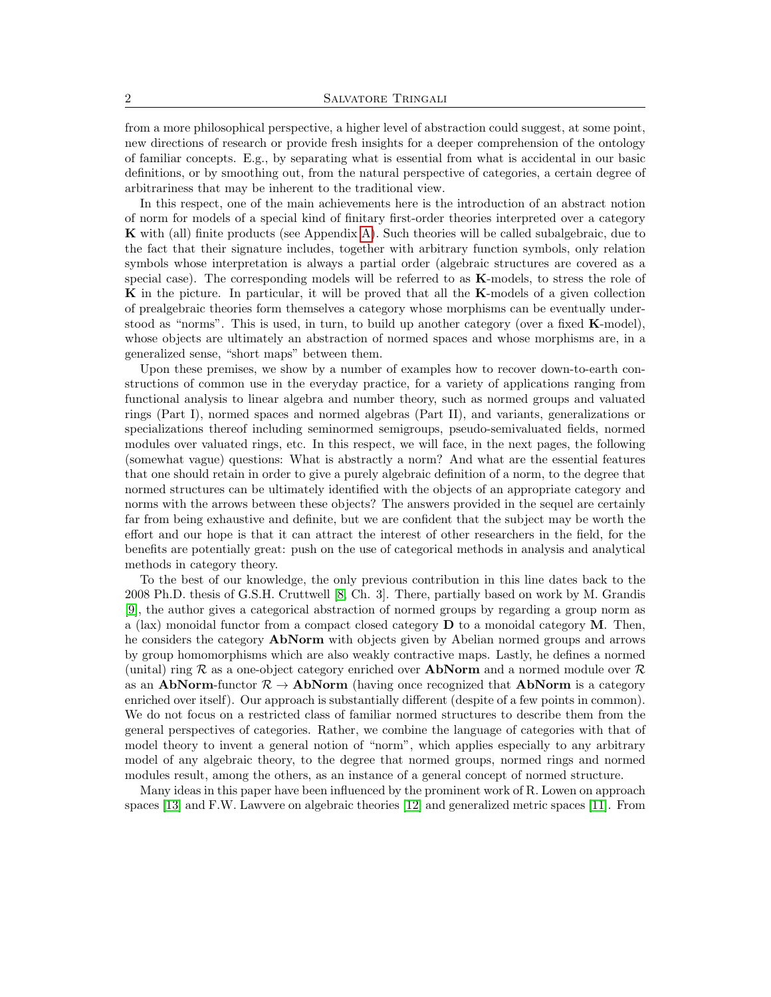from a more philosophical perspective, a higher level of abstraction could suggest, at some point, new directions of research or provide fresh insights for a deeper comprehension of the ontology of familiar concepts. E.g., by separating what is essential from what is accidental in our basic definitions, or by smoothing out, from the natural perspective of categories, a certain degree of arbitrariness that may be inherent to the traditional view.

In this respect, one of the main achievements here is the introduction of an abstract notion of norm for models of a special kind of finitary first-order theories interpreted over a category K with (all) finite products (see Appendix [A\)](#page-15-0). Such theories will be called subalgebraic, due to the fact that their signature includes, together with arbitrary function symbols, only relation symbols whose interpretation is always a partial order (algebraic structures are covered as a special case). The corresponding models will be referred to as K-models, to stress the role of K in the picture. In particular, it will be proved that all the K-models of a given collection of prealgebraic theories form themselves a category whose morphisms can be eventually understood as "norms". This is used, in turn, to build up another category (over a fixed K-model), whose objects are ultimately an abstraction of normed spaces and whose morphisms are, in a generalized sense, "short maps" between them.

Upon these premises, we show by a number of examples how to recover down-to-earth constructions of common use in the everyday practice, for a variety of applications ranging from functional analysis to linear algebra and number theory, such as normed groups and valuated rings (Part I), normed spaces and normed algebras (Part II), and variants, generalizations or specializations thereof including seminormed semigroups, pseudo-semivaluated fields, normed modules over valuated rings, etc. In this respect, we will face, in the next pages, the following (somewhat vague) questions: What is abstractly a norm? And what are the essential features that one should retain in order to give a purely algebraic definition of a norm, to the degree that normed structures can be ultimately identified with the objects of an appropriate category and norms with the arrows between these objects? The answers provided in the sequel are certainly far from being exhaustive and definite, but we are confident that the subject may be worth the effort and our hope is that it can attract the interest of other researchers in the field, for the benefits are potentially great: push on the use of categorical methods in analysis and analytical methods in category theory.

To the best of our knowledge, the only previous contribution in this line dates back to the 2008 Ph.D. thesis of G.S.H. Cruttwell [\[8,](#page-17-3) Ch. 3]. There, partially based on work by M. Grandis [\[9\]](#page-18-2), the author gives a categorical abstraction of normed groups by regarding a group norm as a (lax) monoidal functor from a compact closed category  **to a monoidal category**  $**M**$ **. Then,** he considers the category **AbNorm** with objects given by Abelian normed groups and arrows by group homomorphisms which are also weakly contractive maps. Lastly, he defines a normed (unital) ring R as a one-object category enriched over **AbNorm** and a normed module over R as an AbNorm-functor  $\mathcal{R} \to \text{AbNorm}$  (having once recognized that AbNorm is a category enriched over itself). Our approach is substantially different (despite of a few points in common). We do not focus on a restricted class of familiar normed structures to describe them from the general perspectives of categories. Rather, we combine the language of categories with that of model theory to invent a general notion of "norm", which applies especially to any arbitrary model of any algebraic theory, to the degree that normed groups, normed rings and normed modules result, among the others, as an instance of a general concept of normed structure.

Many ideas in this paper have been influenced by the prominent work of R. Lowen on approach spaces [\[13\]](#page-18-3) and F.W. Lawvere on algebraic theories [\[12\]](#page-18-4) and generalized metric spaces [\[11\]](#page-18-5). From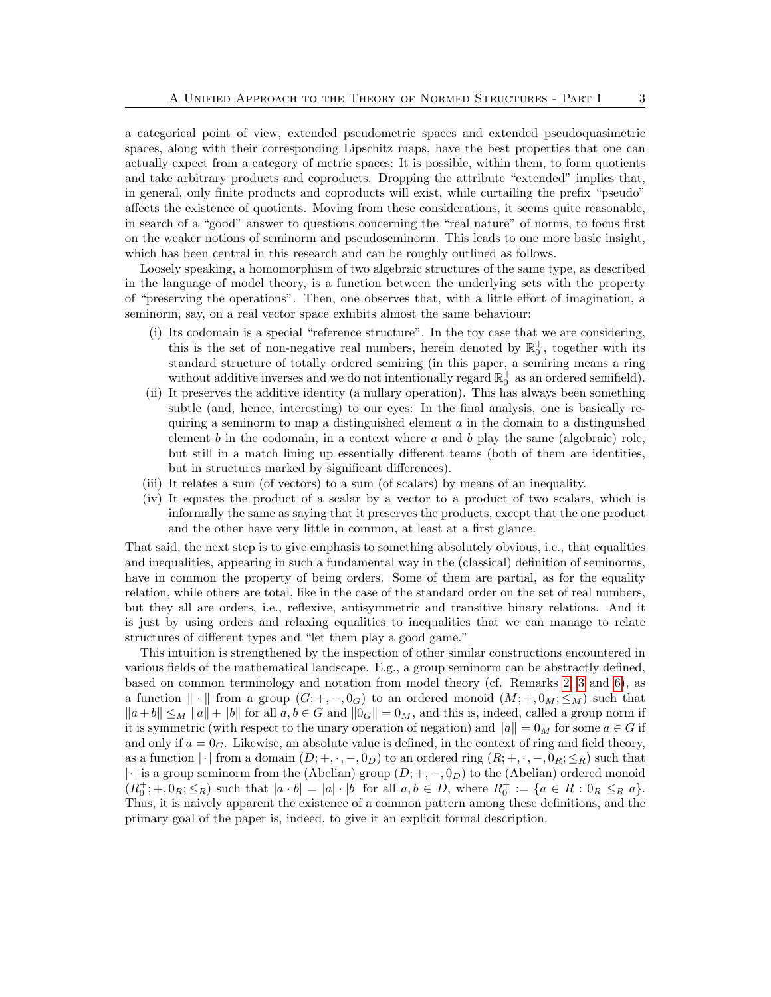a categorical point of view, extended pseudometric spaces and extended pseudoquasimetric spaces, along with their corresponding Lipschitz maps, have the best properties that one can actually expect from a category of metric spaces: It is possible, within them, to form quotients and take arbitrary products and coproducts. Dropping the attribute "extended" implies that, in general, only finite products and coproducts will exist, while curtailing the prefix "pseudo" affects the existence of quotients. Moving from these considerations, it seems quite reasonable, in search of a "good" answer to questions concerning the "real nature" of norms, to focus first on the weaker notions of seminorm and pseudoseminorm. This leads to one more basic insight, which has been central in this research and can be roughly outlined as follows.

Loosely speaking, a homomorphism of two algebraic structures of the same type, as described in the language of model theory, is a function between the underlying sets with the property of "preserving the operations". Then, one observes that, with a little effort of imagination, a seminorm, say, on a real vector space exhibits almost the same behaviour:

- (i) Its codomain is a special "reference structure". In the toy case that we are considering, this is the set of non-negative real numbers, herein denoted by  $\mathbb{R}^+_0$ , together with its standard structure of totally ordered semiring (in this paper, a semiring means a ring without additive inverses and we do not intentionally regard  $\mathbb{R}^+_0$  as an ordered semifield).
- (ii) It preserves the additive identity (a nullary operation). This has always been something subtle (and, hence, interesting) to our eyes: In the final analysis, one is basically requiring a seminorm to map a distinguished element  $a$  in the domain to a distinguished element b in the codomain, in a context where a and b play the same (algebraic) role, but still in a match lining up essentially different teams (both of them are identities, but in structures marked by significant differences).
- (iii) It relates a sum (of vectors) to a sum (of scalars) by means of an inequality.
- (iv) It equates the product of a scalar by a vector to a product of two scalars, which is informally the same as saying that it preserves the products, except that the one product and the other have very little in common, at least at a first glance.

That said, the next step is to give emphasis to something absolutely obvious, i.e., that equalities and inequalities, appearing in such a fundamental way in the (classical) definition of seminorms, have in common the property of being orders. Some of them are partial, as for the equality relation, while others are total, like in the case of the standard order on the set of real numbers, but they all are orders, i.e., reflexive, antisymmetric and transitive binary relations. And it is just by using orders and relaxing equalities to inequalities that we can manage to relate structures of different types and "let them play a good game."

This intuition is strengthened by the inspection of other similar constructions encountered in various fields of the mathematical landscape. E.g., a group seminorm can be abstractly defined, based on common terminology and notation from model theory (cf. Remarks [2,](#page-4-0) [3](#page-4-1) and [6\)](#page-5-0), as a function  $\|\cdot\|$  from a group  $(G; +, -, 0_G)$  to an ordered monoid  $(M; +, 0_M; \leq_M)$  such that  $||a+b|| \leq M ||a|| + ||b||$  for all  $a, b \in G$  and  $||0_G|| = 0_M$ , and this is, indeed, called a group norm if it is symmetric (with respect to the unary operation of negation) and  $||a|| = 0_M$  for some  $a \in G$  if and only if  $a = 0_G$ . Likewise, an absolute value is defined, in the context of ring and field theory, as a function  $|\cdot|$  from a domain  $(D; +, \cdot, -, 0_D)$  to an ordered ring  $(R; +, \cdot, -, 0_R; \leq_R)$  such that  $|\cdot|$  is a group seminorm from the (Abelian) group  $(D; +, -, 0_D)$  to the (Abelian) ordered monoid  $(R_0^+;+,0_R;\leq_R)$  such that  $|a\cdot b|=|a|\cdot|b|$  for all  $a,b\in D$ , where  $R_0^+:=\{a\in R:0_R\leq_R a\}.$ Thus, it is naively apparent the existence of a common pattern among these definitions, and the primary goal of the paper is, indeed, to give it an explicit formal description.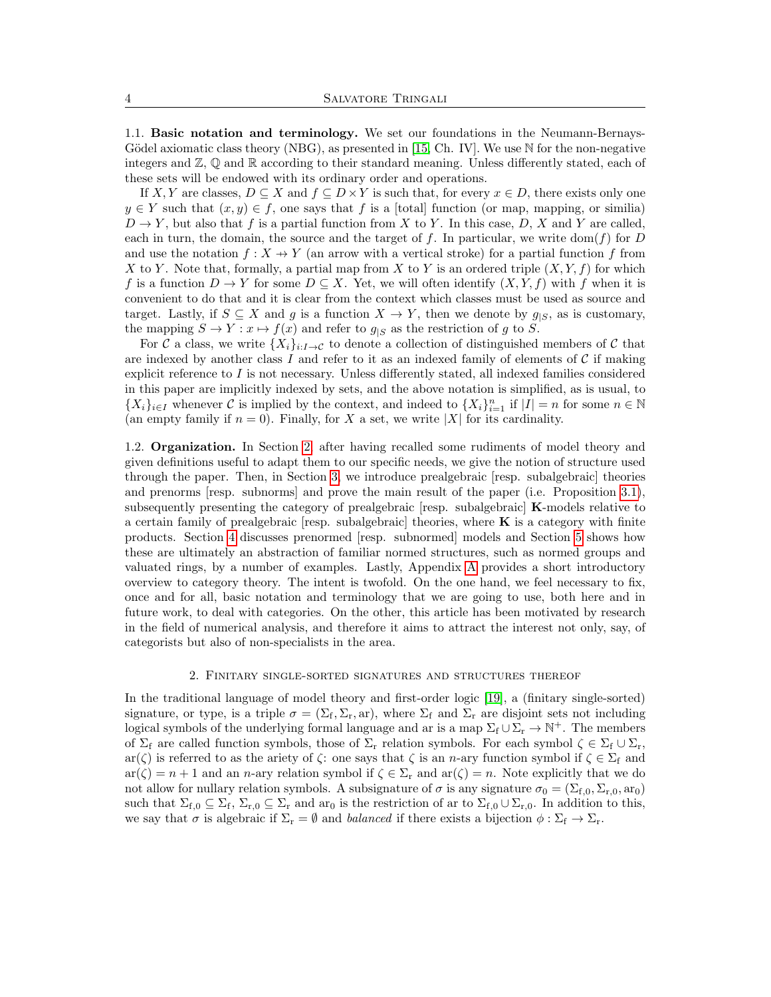<span id="page-3-1"></span>1.1. Basic notation and terminology. We set our foundations in the Neumann-Bernays-Gödel axiomatic class theory (NBG), as presented in [\[15,](#page-18-6) Ch. IV]. We use  $\mathbb N$  for the non-negative integers and  $\mathbb{Z}, \mathbb{Q}$  and  $\mathbb{R}$  according to their standard meaning. Unless differently stated, each of these sets will be endowed with its ordinary order and operations.

If X, Y are classes,  $D \subseteq X$  and  $f \subseteq D \times Y$  is such that, for every  $x \in D$ , there exists only one  $y \in Y$  such that  $(x, y) \in f$ , one says that f is a [total] function (or map, mapping, or similia)  $D \to Y$ , but also that f is a partial function from X to Y. In this case, D, X and Y are called, each in turn, the domain, the source and the target of f. In particular, we write dom(f) for D and use the notation  $f : X \to Y$  (an arrow with a vertical stroke) for a partial function f from X to Y. Note that, formally, a partial map from X to Y is an ordered triple  $(X, Y, f)$  for which f is a function  $D \to Y$  for some  $D \subseteq X$ . Yet, we will often identify  $(X, Y, f)$  with f when it is convenient to do that and it is clear from the context which classes must be used as source and target. Lastly, if  $S \subseteq X$  and g is a function  $X \to Y$ , then we denote by  $g_{|S}$ , as is customary, the mapping  $S \to Y : x \mapsto f(x)$  and refer to  $g_{|S}$  as the restriction of g to S.

For C a class, we write  $\{X_i\}_{i:I\to\mathcal{C}}$  to denote a collection of distinguished members of C that are indexed by another class  $I$  and refer to it as an indexed family of elements of  $C$  if making explicit reference to  $I$  is not necessary. Unless differently stated, all indexed families considered in this paper are implicitly indexed by sets, and the above notation is simplified, as is usual, to  $\{X_i\}_{i\in I}$  whenever C is implied by the context, and indeed to  $\{X_i\}_{i=1}^n$  if  $|I|=n$  for some  $n\in\mathbb{N}$ (an empty family if  $n = 0$ ). Finally, for X a set, we write |X| for its cardinality.

1.2. Organization. In Section [2,](#page-3-0) after having recalled some rudiments of model theory and given definitions useful to adapt them to our specific needs, we give the notion of structure used through the paper. Then, in Section [3,](#page-5-1) we introduce prealgebraic [resp. subalgebraic] theories and prenorms [resp. subnorms] and prove the main result of the paper (i.e. Proposition [3.1\)](#page-9-0), subsequently presenting the category of prealgebraic [resp. subalgebraic] K-models relative to a certain family of prealgebraic  $[resp.$  subalgebraic theories, where  $\bf{K}$  is a category with finite products. Section [4](#page-10-0) discusses prenormed [resp. subnormed] models and Section [5](#page-12-0) shows how these are ultimately an abstraction of familiar normed structures, such as normed groups and valuated rings, by a number of examples. Lastly, Appendix [A](#page-15-0) provides a short introductory overview to category theory. The intent is twofold. On the one hand, we feel necessary to fix, once and for all, basic notation and terminology that we are going to use, both here and in future work, to deal with categories. On the other, this article has been motivated by research in the field of numerical analysis, and therefore it aims to attract the interest not only, say, of categorists but also of non-specialists in the area.

## 2. Finitary single-sorted signatures and structures thereof

<span id="page-3-0"></span>In the traditional language of model theory and first-order logic [\[19\]](#page-18-7), a (finitary single-sorted) signature, or type, is a triple  $\sigma = (\Sigma_f, \Sigma_r, ar)$ , where  $\Sigma_f$  and  $\Sigma_r$  are disjoint sets not including logical symbols of the underlying formal language and ar is a map  $\Sigma_f \cup \Sigma_r \to \mathbb{N}^+$ . The members of  $\Sigma_f$  are called function symbols, those of  $\Sigma_r$  relation symbols. For each symbol  $\zeta \in \Sigma_f \cup \Sigma_r$ ,  $ar(\zeta)$  is referred to as the ariety of  $\zeta$ : one says that  $\zeta$  is an n-ary function symbol if  $\zeta \in \Sigma_f$  and  $ar(\zeta) = n + 1$  and an *n*-ary relation symbol if  $\zeta \in \Sigma_r$  and  $ar(\zeta) = n$ . Note explicitly that we do not allow for nullary relation symbols. A subsignature of  $\sigma$  is any signature  $\sigma_0 = (\Sigma_{f,0}, \Sigma_{r,0}, \text{ar}_0)$ such that  $\Sigma_{f,0} \subseteq \Sigma_f$ ,  $\Sigma_{r,0} \subseteq \Sigma_r$  and  $\text{ar}_0$  is the restriction of ar to  $\Sigma_{f,0} \cup \Sigma_{r,0}$ . In addition to this, we say that  $\sigma$  is algebraic if  $\Sigma_r = \emptyset$  and balanced if there exists a bijection  $\phi : \Sigma_f \to \Sigma_r$ .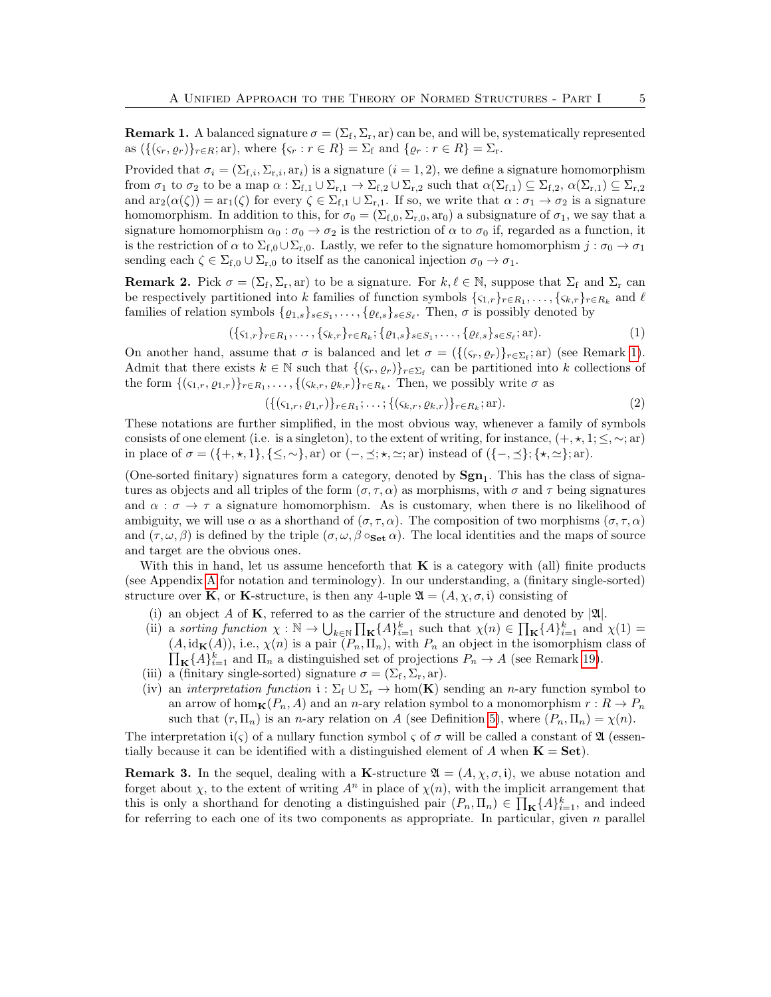<span id="page-4-2"></span>**Remark 1.** A balanced signature  $\sigma = (\Sigma_f, \Sigma_r, \text{ar})$  can be, and will be, systematically represented as  $({\{(s_r, \rho_r)\}}_{r \in R}; \text{ar})$ , where  $\{s_r : r \in R\} = \Sigma_f$  and  $\{\rho_r : r \in R\} = \Sigma_r$ .

Provided that  $\sigma_i = (\Sigma_{f,i}, \Sigma_{r,i}, \text{ar}_i)$  is a signature  $(i = 1, 2)$ , we define a signature homomorphism from  $\sigma_1$  to  $\sigma_2$  to be a map  $\alpha : \Sigma_{f,1} \cup \Sigma_{r,1} \to \Sigma_{f,2} \cup \Sigma_{r,2}$  such that  $\alpha(\Sigma_{f,1}) \subseteq \Sigma_{f,2}, \alpha(\Sigma_{r,1}) \subseteq \Sigma_{r,2}$ and  $ar_2(\alpha(\zeta)) = ar_1(\zeta)$  for every  $\zeta \in \Sigma_{f,1} \cup \Sigma_{r,1}$ . If so, we write that  $\alpha : \sigma_1 \to \sigma_2$  is a signature homomorphism. In addition to this, for  $\sigma_0 = (\Sigma_{f,0}, \Sigma_{r,0}, \text{ar}_0)$  a subsignature of  $\sigma_1$ , we say that a signature homomorphism  $\alpha_0 : \sigma_0 \to \sigma_2$  is the restriction of  $\alpha$  to  $\sigma_0$  if, regarded as a function, it is the restriction of  $\alpha$  to  $\Sigma_{f,0} \cup \Sigma_{r,0}$ . Lastly, we refer to the signature homomorphism  $j : \sigma_0 \to \sigma_1$ sending each  $\zeta \in \Sigma_{f,0} \cup \Sigma_{r,0}$  to itself as the canonical injection  $\sigma_0 \to \sigma_1$ .

<span id="page-4-0"></span>**Remark 2.** Pick  $\sigma = (\Sigma_f, \Sigma_r, \text{ar})$  to be a signature. For  $k, \ell \in \mathbb{N}$ , suppose that  $\Sigma_f$  and  $\Sigma_r$  can be respectively partitioned into k families of function symbols  $\{\zeta_{1,r}\}_{r \in R_1}, \ldots, \{\zeta_{k,r}\}_{r \in R_k}$  and  $\ell$ families of relation symbols  $\{ \varrho_{1,s} \}_{s \in S_1}, \ldots, \{ \varrho_{\ell,s} \}_{s \in S_{\ell}}$ . Then,  $\sigma$  is possibly denoted by

$$
(\{\varsigma_{1,r}\}_{r \in R_1}, \ldots, \{\varsigma_{k,r}\}_{r \in R_k}; \{\varrho_{1,s}\}_{s \in S_1}, \ldots, \{\varrho_{\ell,s}\}_{s \in S_\ell}; \text{ar}).
$$
\n(1)

On another hand, assume that  $\sigma$  is balanced and let  $\sigma = (\{(\varsigma_r, \varrho_r)\}_{r \in \Sigma_f}; \text{ar})$  (see Remark [1\)](#page-4-2). Admit that there exists  $k \in \mathbb{N}$  such that  $\{(\varsigma_r, \varrho_r)\}_{r \in \Sigma_f}$  can be partitioned into k collections of the form  $\{(\varsigma_{1,r},\varrho_{1,r})\}_{r\in R_1},\ldots,\{(\varsigma_{k,r},\varrho_{k,r})\}_{r\in R_k}$ . Then, we possibly write  $\sigma$  as

$$
(\{(\varsigma_{1,r}, \varrho_{1,r})\}_{r \in R_1}; \ldots; \{(\varsigma_{k,r}, \varrho_{k,r})\}_{r \in R_k}; \text{ar}).
$$
\n(2)

These notations are further simplified, in the most obvious way, whenever a family of symbols consists of one element (i.e. is a singleton), to the extent of writing, for instance,  $(+, \star, 1; \leq, \sim; ar)$ in place of  $\sigma = (\{+, \star, 1\}, \{\leq, \sim\}, \text{ar})$  or  $(-, \preceq; \star, \simeq; \text{ar})$  instead of  $(\{-, \preceq\}; \{\star, \simeq\}; \text{ar}).$ 

(One-sorted finitary) signatures form a category, denoted by  $\text{Sgn}_1$ . This has the class of signatures as objects and all triples of the form  $(\sigma, \tau, \alpha)$  as morphisms, with  $\sigma$  and  $\tau$  being signatures and  $\alpha : \sigma \to \tau$  a signature homomorphism. As is customary, when there is no likelihood of ambiguity, we will use  $\alpha$  as a shorthand of  $(\sigma, \tau, \alpha)$ . The composition of two morphisms  $(\sigma, \tau, \alpha)$ and  $(\tau, \omega, \beta)$  is defined by the triple  $(\sigma, \omega, \beta \circ_{\text{Set}} \alpha)$ . The local identities and the maps of source and target are the obvious ones.

With this in hand, let us assume henceforth that  $\bf{K}$  is a category with (all) finite products (see Appendix [A](#page-15-0) for notation and terminology). In our understanding, a (finitary single-sorted) structure over **K**, or **K**-structure, is then any 4-uple  $\mathfrak{A} = (A, \chi, \sigma, \mathfrak{i})$  consisting of

- (i) an object A of K, referred to as the carrier of the structure and denoted by  $|A|$ .
- (ii) a sorting function  $\chi : \mathbb{N} \to \bigcup_{k \in \mathbb{N}} \prod_{\mathbf{K}} \{A\}_{i=1}^k$  such that  $\chi(n) \in \prod_{\mathbf{K}} \{A\}_{i=1}^k$  and  $\chi(1) =$  $\prod_{\mathbf{K}} \{A\}_{i=1}^k$  and  $\Pi_n$  a distinguished set of projections  $P_n \to A$  (see Remark [19\)](#page-16-0).  $(A, id_{\mathbf{K}}(A)),$  i.e.,  $\chi(n)$  is a pair  $(P_n, \Pi_n)$ , with  $P_n$  an object in the isomorphism class of
- (iii) a (finitary single-sorted) signature  $\sigma = (\Sigma_f, \Sigma_r, ar)$ .
- (iv) an interpretation function  $i : \Sigma_f \cup \Sigma_r \to \text{hom}(\mathbf{K})$  sending an n-ary function symbol to an arrow of hom $_{\mathbf{K}}(P_n, A)$  and an n-ary relation symbol to a monomorphism  $r : R \to P_n$ such that  $(r, \Pi_n)$  is an *n*-ary relation on A (see Definition [5\)](#page-16-1), where  $(P_n, \Pi_n) = \chi(n)$ .

The interpretation  $i(\varsigma)$  of a nullary function symbol  $\varsigma$  of  $\sigma$  will be called a constant of  $\mathfrak{A}$  (essentially because it can be identified with a distinguished element of A when  $\mathbf{K} = \mathbf{Set}$ .

<span id="page-4-1"></span>**Remark 3.** In the sequel, dealing with a K-structure  $\mathfrak{A} = (A, \chi, \sigma, \mathfrak{i})$ , we abuse notation and forget about  $\chi$ , to the extent of writing  $A^n$  in place of  $\chi(n)$ , with the implicit arrangement that this is only a shorthand for denoting a distinguished pair  $(P_n, \Pi_n) \in \prod_{\mathbf{K}} \{A\}_{i=1}^k$ , and indeed for referring to each one of its two components as appropriate. In particular, given  $n$  parallel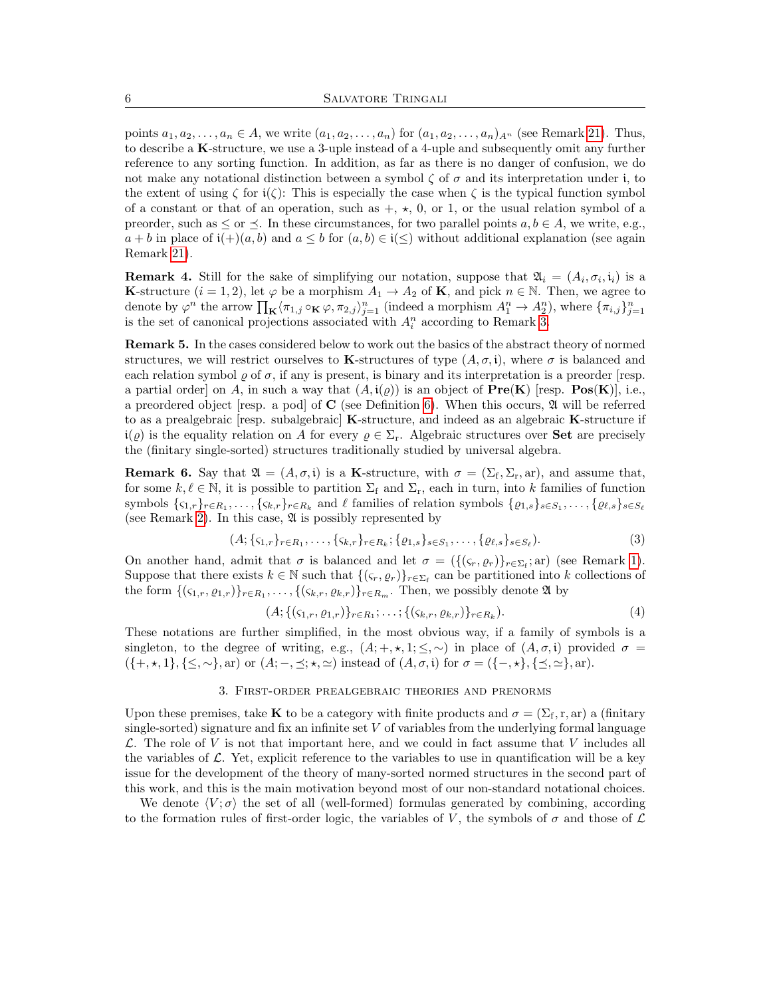points  $a_1, a_2, \ldots, a_n \in A$ , we write  $(a_1, a_2, \ldots, a_n)$  for  $(a_1, a_2, \ldots, a_n)_{A^n}$  (see Remark [21\)](#page-16-2). Thus, to describe a K-structure, we use a 3-uple instead of a 4-uple and subsequently omit any further reference to any sorting function. In addition, as far as there is no danger of confusion, we do not make any notational distinction between a symbol  $\zeta$  of  $\sigma$  and its interpretation under i, to the extent of using  $\zeta$  for  $i(\zeta)$ : This is especially the case when  $\zeta$  is the typical function symbol of a constant or that of an operation, such as  $+$ ,  $\star$ , 0, or 1, or the usual relation symbol of a preorder, such as  $\leq$  or  $\leq$ . In these circumstances, for two parallel points  $a, b \in A$ , we write, e.g.,  $a + b$  in place of  $i(+) (a, b)$  and  $a \leq b$  for  $(a, b) \in i( \leq )$  without additional explanation (see again Remark [21\)](#page-16-2).

<span id="page-5-3"></span>**Remark 4.** Still for the sake of simplifying our notation, suppose that  $\mathfrak{A}_i = (A_i, \sigma_i, \mathfrak{i}_i)$  is a **K**-structure  $(i = 1, 2)$ , let  $\varphi$  be a morphism  $A_1 \to A_2$  of **K**, and pick  $n \in \mathbb{N}$ . Then, we agree to denote by  $\varphi^n$  the arrow  $\prod_{\mathbf{K}} \langle \pi_{1,j} \circ_{\mathbf{K}} \varphi, \pi_{2,j} \rangle_{j=1}^n$  (indeed a morphism  $A_1^n \to A_2^n$ ), where  $\{\pi_{i,j}\}_{j=1}^n$ is the set of canonical projections associated with  $A_i^n$  according to Remark [3.](#page-4-1)

<span id="page-5-2"></span>Remark 5. In the cases considered below to work out the basics of the abstract theory of normed structures, we will restrict ourselves to K-structures of type  $(A, \sigma, i)$ , where  $\sigma$  is balanced and each relation symbol  $\rho$  of  $\sigma$ , if any is present, is binary and its interpretation is a preorder [resp. a partial order] on A, in such a way that  $(A, i(\rho))$  is an object of  $Pre(K)$  [resp.  $Pos(K)$ ], i.e., a preordered object [resp. a pod] of  $C$  (see Definition [6\)](#page-16-3). When this occurs,  $\mathfrak{A}$  will be referred to as a prealgebraic [resp. subalgebraic] K-structure, and indeed as an algebraic K-structure if  $i(\varrho)$  is the equality relation on A for every  $\varrho \in \Sigma_r$ . Algebraic structures over **Set** are precisely the (finitary single-sorted) structures traditionally studied by universal algebra.

<span id="page-5-0"></span>**Remark 6.** Say that  $\mathfrak{A} = (A, \sigma, \mathfrak{i})$  is a **K**-structure, with  $\sigma = (\Sigma_{\mathfrak{f}}, \Sigma_{\mathfrak{r}}, \mathfrak{a})$ , and assume that, for some  $k, \ell \in \mathbb{N}$ , it is possible to partition  $\Sigma_f$  and  $\Sigma_r$ , each in turn, into k families of function symbols  $\{\varsigma_{1,r}\}_{r \in R_1}, \ldots, \{\varsigma_{k,r}\}_{r \in R_k}$  and  $\ell$  families of relation symbols  $\{\varrho_{1,s}\}_{s \in S_1}, \ldots, \{\varrho_{\ell,s}\}_{s \in S_\ell}$ (see Remark [2\)](#page-4-0). In this case,  $\mathfrak A$  is possibly represented by

$$
(A; \{ \varsigma_{1,r} \}_{r \in R_1}, \ldots, \{ \varsigma_{k,r} \}_{r \in R_k}; \{ \varrho_{1,s} \}_{s \in S_1}, \ldots, \{ \varrho_{\ell,s} \}_{s \in S_{\ell}}).
$$
\n
$$
(3)
$$

On another hand, admit that  $\sigma$  is balanced and let  $\sigma = (\{(s_r, \rho_r)\}_{r \in \Sigma_f}; \text{ar})$  (see Remark [1\)](#page-4-2). Suppose that there exists  $k \in \mathbb{N}$  such that  $\{(\varsigma_r, \varrho_r)\}_{r \in \Sigma_f}$  can be partitioned into k collections of the form  $\{(\varsigma_{1,r},\varrho_{1,r})\}_{r\in R_1},\ldots,\{(\varsigma_{k,r},\varrho_{k,r})\}_{r\in R_m}$ . Then, we possibly denote  $\mathfrak A$  by

$$
(A; \{(\varsigma_{1,r}, \varrho_{1,r})\}_{r \in R_1}; \ldots; \{(\varsigma_{k,r}, \varrho_{k,r})\}_{r \in R_k}).
$$
\n
$$
(4)
$$

These notations are further simplified, in the most obvious way, if a family of symbols is a singleton, to the degree of writing, e.g.,  $(A; +, \star, 1; \leq, \sim)$  in place of  $(A, \sigma, i)$  provided  $\sigma =$  $(\{+, \star, 1\}, \{\leq, \sim\}, \text{ar})$  or  $(A; -, \preceq; \star, \simeq)$  instead of  $(A, \sigma, \mathfrak{i})$  for  $\sigma = (\{-, \star\}, \{\preceq, \simeq\}, \text{ar}).$ 

## 3. First-order prealgebraic theories and prenorms

<span id="page-5-1"></span>Upon these premises, take **K** to be a category with finite products and  $\sigma = (\Sigma_f, r, ar)$  a (finitary single-sorted) signature and fix an infinite set V of variables from the underlying formal language  $\mathcal L$ . The role of V is not that important here, and we could in fact assume that V includes all the variables of  $\mathcal{L}$ . Yet, explicit reference to the variables to use in quantification will be a key issue for the development of the theory of many-sorted normed structures in the second part of this work, and this is the main motivation beyond most of our non-standard notational choices.

We denote  $\langle V; \sigma \rangle$  the set of all (well-formed) formulas generated by combining, according to the formation rules of first-order logic, the variables of V, the symbols of  $\sigma$  and those of  $\mathcal L$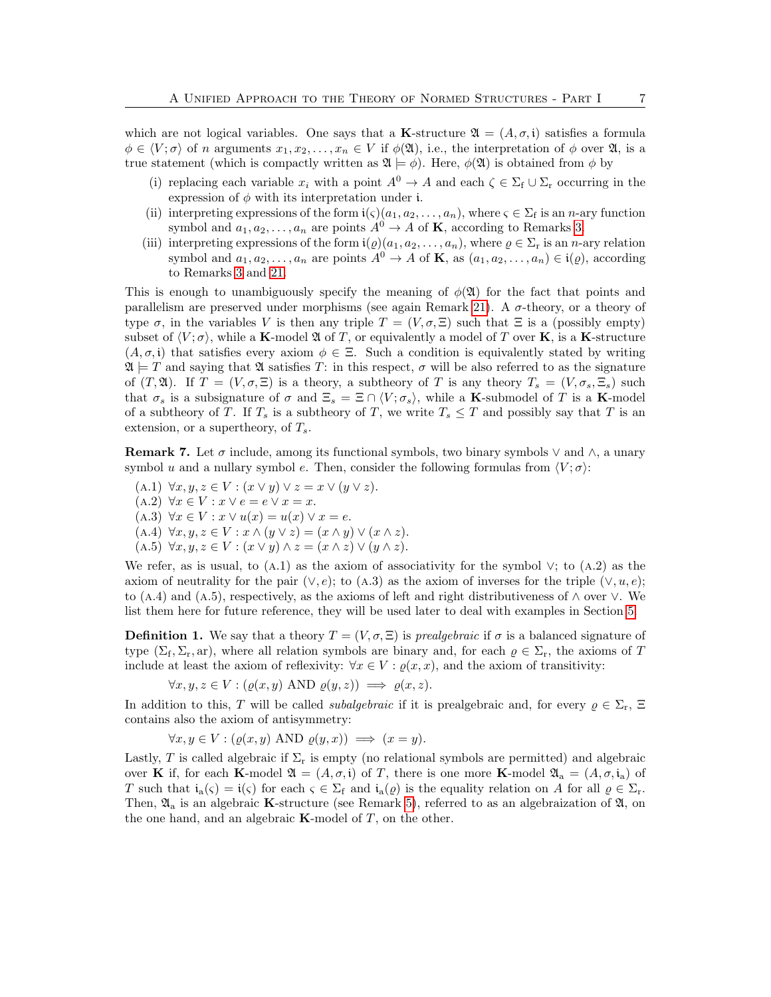which are not logical variables. One says that a K-structure  $\mathfrak{A} = (A, \sigma, \mathfrak{i})$  satisfies a formula  $\phi \in \langle V; \sigma \rangle$  of n arguments  $x_1, x_2, \ldots, x_n \in V$  if  $\phi(\mathfrak{A})$ , i.e., the interpretation of  $\phi$  over  $\mathfrak{A}$ , is a true statement (which is compactly written as  $\mathfrak{A} \models \phi$ ). Here,  $\phi(\mathfrak{A})$  is obtained from  $\phi$  by

- (i) replacing each variable  $x_i$  with a point  $A^0 \to A$  and each  $\zeta \in \Sigma_f \cup \Sigma_r$  occurring in the expression of  $\phi$  with its interpretation under i.
- (ii) interpreting expressions of the form  $i(\varsigma)(a_1, a_2, \ldots, a_n)$ , where  $\varsigma \in \Sigma_f$  is an *n*-ary function symbol and  $a_1, a_2, \ldots, a_n$  are points  $A^0 \rightarrow A$  of **K**, according to Remarks [3.](#page-4-1)
- (iii) interpreting expressions of the form  $i(\varrho)(a_1, a_2, \ldots, a_n)$ , where  $\varrho \in \Sigma_r$  is an *n*-ary relation symbol and  $a_1, a_2, \ldots, a_n$  are points  $A^0 \to A$  of **K**, as  $(a_1, a_2, \ldots, a_n) \in i(\rho)$ , according to Remarks [3](#page-4-1) and [21.](#page-16-2)

This is enough to unambiguously specify the meaning of  $\phi(\mathfrak{A})$  for the fact that points and parallelism are preserved under morphisms (see again Remark [21\)](#page-16-2). A σ-theory, or a theory of type  $\sigma$ , in the variables V is then any triple  $T = (V, \sigma, \Xi)$  such that  $\Xi$  is a (possibly empty) subset of  $\langle V; \sigma \rangle$ , while a **K**-model  $\mathfrak{A}$  of T, or equivalently a model of T over **K**, is a **K**-structure  $(A, \sigma, \mathfrak{i})$  that satisfies every axiom  $\phi \in \Xi$ . Such a condition is equivalently stated by writing  $\mathfrak{A} \models T$  and saying that  $\mathfrak A$  satisfies T: in this respect,  $\sigma$  will be also referred to as the signature of  $(T, \mathfrak{A})$ . If  $T = (V, \sigma, \Xi)$  is a theory, a subtheory of T is any theory  $T_s = (V, \sigma_s, \Xi_s)$  such that  $\sigma_s$  is a subsignature of  $\sigma$  and  $\Xi_s = \Xi \cap \langle V; \sigma_s \rangle$ , while a K-submodel of T is a K-model of a subtheory of T. If  $T_s$  is a subtheory of T, we write  $T_s \leq T$  and possibly say that T is an extension, or a supertheory, of  $T_s$ .

<span id="page-6-0"></span>**Remark 7.** Let  $\sigma$  include, among its functional symbols, two binary symbols  $\vee$  and  $\wedge$ , a unary symbol u and a nullary symbol e. Then, consider the following formulas from  $\langle V; \sigma \rangle$ :

(A.1)  $\forall x, y, z \in V : (x \vee y) \vee z = x \vee (y \vee z).$ (A.2)  $\forall x \in V : x \vee e = e \vee x = x.$ (A.3)  $\forall x \in V : x \vee u(x) = u(x) \vee x = e.$ (A.4)  $\forall x, y, z \in V : x \land (y \lor z) = (x \land y) \lor (x \land z).$ (A.5)  $\forall x, y, z \in V : (x \vee y) \wedge z = (x \wedge z) \vee (y \wedge z).$ 

We refer, as is usual, to  $(A.1)$  as the axiom of associativity for the symbol  $\vee$ ; to  $(A.2)$  as the axiom of neutrality for the pair  $(\vee, e)$ ; to (A.3) as the axiom of inverses for the triple  $(\vee, u, e)$ ; to (A.4) and (A.5), respectively, as the axioms of left and right distributiveness of  $\land$  over  $\lor$ . We list them here for future reference, they will be used later to deal with examples in Section [5.](#page-12-0)

**Definition 1.** We say that a theory  $T = (V, \sigma, \Xi)$  is *prealgebraic* if  $\sigma$  is a balanced signature of type  $(\Sigma_f, \Sigma_r, ar)$ , where all relation symbols are binary and, for each  $\rho \in \Sigma_r$ , the axioms of T include at least the axiom of reflexivity:  $\forall x \in V : \varrho(x, x)$ , and the axiom of transitivity:

$$
\forall x, y, z \in V : (\varrho(x, y) \text{ AND } \varrho(y, z)) \implies \varrho(x, z).
$$

In addition to this, T will be called *subalgebraic* if it is prealgebraic and, for every  $\rho \in \Sigma_r$ ,  $\Xi$ contains also the axiom of antisymmetry:

$$
\forall x, y \in V : (\varrho(x, y) \text{ AND } \varrho(y, x)) \implies (x = y).
$$

Lastly, T is called algebraic if  $\Sigma_r$  is empty (no relational symbols are permitted) and algebraic over K if, for each K-model  $\mathfrak{A} = (A, \sigma, \mathfrak{i})$  of T, there is one more K-model  $\mathfrak{A}_a = (A, \sigma, \mathfrak{i}_a)$  of T such that  $i_a(s) = i(s)$  for each  $s \in \Sigma_f$  and  $i_a(\varrho)$  is the equality relation on A for all  $\varrho \in \Sigma_r$ . Then,  $\mathfrak{A}_a$  is an algebraic K-structure (see Remark [5\)](#page-5-2), referred to as an algebraization of  $\mathfrak{A}$ , on the one hand, and an algebraic  $\mathbf{K}\text{-model}$  of T, on the other.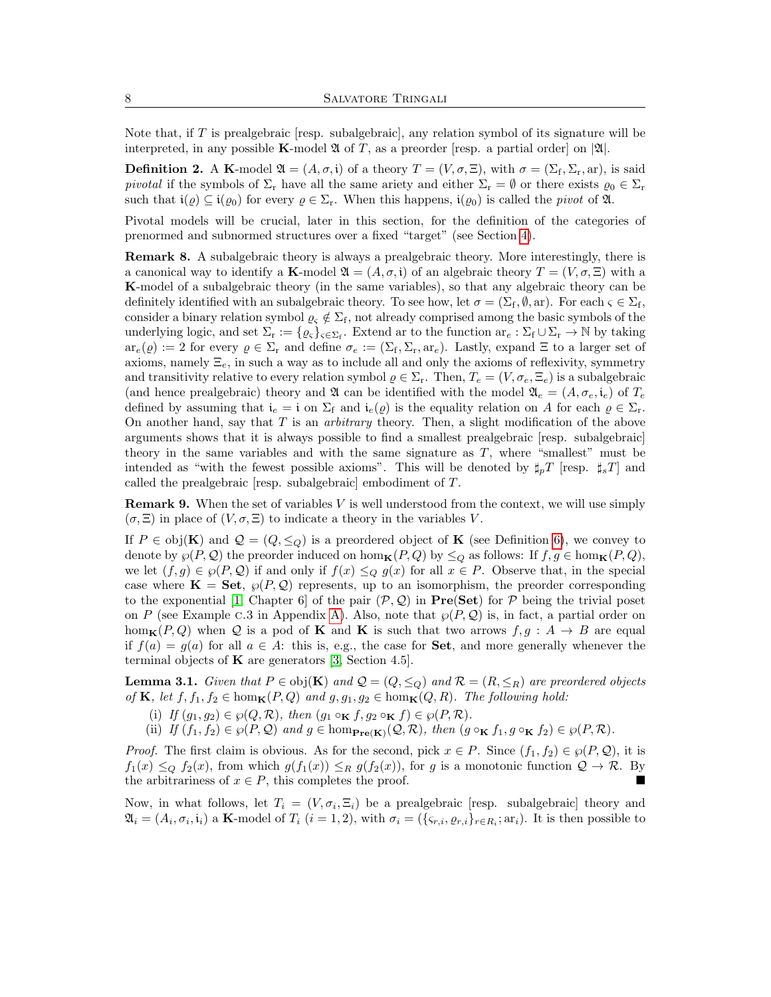Note that, if  $T$  is prealgebraic [resp. subalgebraic], any relation symbol of its signature will be interpreted, in any possible **K**-model  $\mathfrak{A}$  of T, as a preorder [resp. a partial order] on  $|\mathfrak{A}|$ .

**Definition 2.** A K-model  $\mathfrak{A} = (A, \sigma, \mathfrak{i})$  of a theory  $T = (V, \sigma, \Xi)$ , with  $\sigma = (\Sigma_{\mathfrak{f}}, \Sigma_{\mathfrak{r}}, \mathrm{ar})$ , is said pivotal if the symbols of  $\Sigma_r$  have all the same ariety and either  $\Sigma_r = \emptyset$  or there exists  $\varrho_0 \in \Sigma_r$ such that  $i(\varrho) \subseteq i(\varrho_0)$  for every  $\varrho \in \Sigma_r$ . When this happens,  $i(\varrho_0)$  is called the pivot of  $\mathfrak{A}$ .

Pivotal models will be crucial, later in this section, for the definition of the categories of prenormed and subnormed structures over a fixed "target" (see Section [4\)](#page-10-0).

<span id="page-7-1"></span>Remark 8. A subalgebraic theory is always a prealgebraic theory. More interestingly, there is a canonical way to identify a K-model  $\mathfrak{A} = (A, \sigma, \mathfrak{i})$  of an algebraic theory  $T = (V, \sigma, \Xi)$  with a K-model of a subalgebraic theory (in the same variables), so that any algebraic theory can be definitely identified with an subalgebraic theory. To see how, let  $\sigma = (\Sigma_f, \emptyset, ar)$ . For each  $\varsigma \in \Sigma_f$ , consider a binary relation symbol  $\varrho_{\varsigma} \notin \Sigma_f$ , not already comprised among the basic symbols of the underlying logic, and set  $\Sigma_r := \{ \varrho_{\varsigma} \}_{\varsigma \in \Sigma_f}$ . Extend ar to the function  $ar_e : \Sigma_f \cup \Sigma_r \to \mathbb{N}$  by taking  $ar_e(\varrho) := 2$  for every  $\varrho \in \Sigma_r$  and define  $\sigma_e := (\Sigma_f, \Sigma_r, ar_e)$ . Lastly, expand  $\Xi$  to a larger set of axioms, namely  $\Xi_e$ , in such a way as to include all and only the axioms of reflexivity, symmetry and transitivity relative to every relation symbol  $\varrho \in \Sigma_r$ . Then,  $T_e = (V, \sigma_e, \Xi_e)$  is a subalgebraic (and hence prealgebraic) theory and  $\mathfrak A$  can be identified with the model  $\mathfrak A_e = (A, \sigma_e, i_e)$  of  $T_e$ defined by assuming that  $i_e = i$  on  $\Sigma_f$  and  $i_e(\varrho)$  is the equality relation on A for each  $\varrho \in \Sigma_r$ . On another hand, say that  $T$  is an *arbitrary* theory. Then, a slight modification of the above arguments shows that it is always possible to find a smallest prealgebraic [resp. subalgebraic] theory in the same variables and with the same signature as  $T$ , where "smallest" must be intended as "with the fewest possible axioms". This will be denoted by  $\sharp_{\eta}T$  [resp.  $\sharp_{s}T$ ] and called the prealgebraic [resp. subalgebraic] embodiment of T.

**Remark 9.** When the set of variables  $V$  is well understood from the context, we will use simply  $(\sigma, \Xi)$  in place of  $(V, \sigma, \Xi)$  to indicate a theory in the variables V.

If  $P \in \text{obj}(\mathbf{K})$  and  $\mathcal{Q} = (Q, \leq_Q)$  is a preordered object of **K** (see Definition [6\)](#page-16-3), we convey to denote by  $\wp(P, \mathcal{Q})$  the preorder induced on hom $\mathbf{k}(P, Q)$  by  $\leq_Q$  as follows: If  $f, g \in \text{hom}_{\mathbf{K}}(P, Q)$ , we let  $(f, g) \in \wp(P, \mathcal{Q})$  if and only if  $f(x) \leq_Q g(x)$  for all  $x \in P$ . Observe that, in the special case where  $\mathbf{K} = \mathbf{Set}$ ,  $\wp(P, Q)$  represents, up to an isomorphism, the preorder corresponding to the exponential [\[1,](#page-17-4) Chapter 6] of the pair  $(\mathcal{P}, \mathcal{Q})$  in  $\textbf{Pre}(\textbf{Set})$  for  $\mathcal P$  being the trivial poset on P (see Example c.3 in Appendix [A\)](#page-15-0). Also, note that  $\wp(P, \mathcal{Q})$  is, in fact, a partial order on hom<sub>K</sub> $(P,Q)$  when Q is a pod of **K** and **K** is such that two arrows  $f, g : A \rightarrow B$  are equal if  $f(a) = g(a)$  for all  $a \in A$ : this is, e.g., the case for **Set**, and more generally whenever the terminal objects of  $\bf{K}$  are generators [\[3,](#page-17-5) Section 4.5].

<span id="page-7-0"></span>**Lemma 3.1.** Given that  $P \in obj(\mathbf{K})$  and  $Q = (Q, \leq_Q)$  and  $\mathcal{R} = (R, \leq_R)$  are preordered objects of **K**, let  $f, f_1, f_2 \in \text{hom}_{\mathbf{K}}(P, Q)$  and  $g, g_1, g_2 \in \text{hom}_{\mathbf{K}}(Q, R)$ . The following hold:

- (i) If  $(g_1, g_2) \in \wp(Q, \mathcal{R})$ , then  $(g_1 \circ_{\mathbf{K}} f, g_2 \circ_{\mathbf{K}} f) \in \wp(P, \mathcal{R})$ .
- (ii) If  $(f_1, f_2) \in \wp(P, \mathcal{Q})$  and  $g \in \hom_{\textbf{Pre}(\mathbf{K})}(\mathcal{Q}, \mathcal{R})$ , then  $(g \circ_{\mathbf{K}} f_1, g \circ_{\mathbf{K}} f_2) \in \wp(P, \mathcal{R})$ .

*Proof.* The first claim is obvious. As for the second, pick  $x \in P$ . Since  $(f_1, f_2) \in \wp(P, \mathcal{Q})$ , it is  $f_1(x) \leq_{\mathcal{Q}} f_2(x)$ , from which  $g(f_1(x)) \leq_R g(f_2(x))$ , for g is a monotonic function  $\mathcal{Q} \to \mathcal{R}$ . By the arbitrariness of  $x \in P$ , this completes the proof.

Now, in what follows, let  $T_i = (V, \sigma_i, \Xi_i)$  be a prealgebraic [resp. subalgebraic] theory and  $\mathfrak{A}_i = (A_i, \sigma_i, \mathfrak{i}_i)$  a **K**-model of  $T_i$   $(i = 1, 2)$ , with  $\sigma_i = (\{\varsigma_{r,i}, \varrho_{r,i}\}_{r \in R_i}; \operatorname{ar}_i)$ . It is then possible to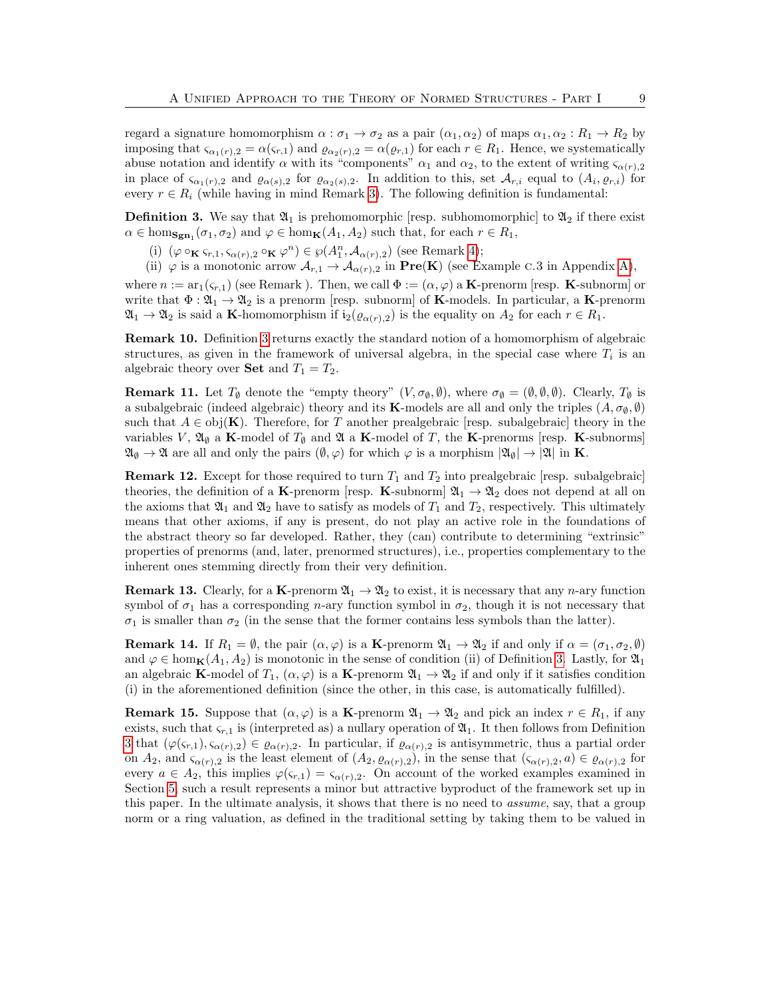regard a signature homomorphism  $\alpha : \sigma_1 \to \sigma_2$  as a pair  $(\alpha_1, \alpha_2)$  of maps  $\alpha_1, \alpha_2 : R_1 \to R_2$  by imposing that  $\varsigma_{\alpha_1(r),2} = \alpha(\varsigma_{r,1})$  and  $\varrho_{\alpha_2(r),2} = \alpha(\varrho_{r,1})$  for each  $r \in R_1$ . Hence, we systematically abuse notation and identify  $\alpha$  with its "components"  $\alpha_1$  and  $\alpha_2$ , to the extent of writing  $\varsigma_{\alpha(r),2}$ in place of  $\zeta_{\alpha_1(r),2}$  and  $\varrho_{\alpha(s),2}$  for  $\varrho_{\alpha_2(s),2}$ . In addition to this, set  $\mathcal{A}_{r,i}$  equal to  $(A_i,\varrho_{r,i})$  for every  $r \in R_i$  (while having in mind Remark [3\)](#page-4-1). The following definition is fundamental:

<span id="page-8-0"></span>**Definition 3.** We say that  $\mathfrak{A}_1$  is prehomomorphic [resp. subhomomorphic] to  $\mathfrak{A}_2$  if there exist  $\alpha \in \text{hom}_{\textbf{Sgn}_1}(\sigma_1, \sigma_2)$  and  $\varphi \in \text{hom}_{\textbf{K}}(A_1, A_2)$  such that, for each  $r \in R_1$ ,

- (i)  $(\varphi \circ_{\mathbf{K}} \varsigma_{r,1}, \varsigma_{\alpha(r),2} \circ_{\mathbf{K}} \varphi^n) \in \wp(A_1^n, \mathcal{A}_{\alpha(r),2})$  (see Remark [4\)](#page-5-3);
- (ii)  $\varphi$  is a monotonic arrow  $\mathcal{A}_{r,1} \to \mathcal{A}_{\alpha(r),2}$  in  $\textbf{Pre}(\mathbf{K})$  (see Example c.3 in Appendix [A\)](#page-15-0),

where  $n := \text{ar}_1(\varsigma_{r,1})$  (see Remark ). Then, we call  $\Phi := (\alpha, \varphi)$  a **K**-prenorm [resp. **K**-subnorm] or write that  $\Phi : \mathfrak{A}_1 \to \mathfrak{A}_2$  is a prenorm [resp. subnorm] of **K**-models. In particular, a **K**-prenorm  $\mathfrak{A}_1 \to \mathfrak{A}_2$  is said a K-homomorphism if  $i_2(\varrho_{\alpha(r),2})$  is the equality on  $A_2$  for each  $r \in R_1$ .

Remark 10. Definition [3](#page-8-0) returns exactly the standard notion of a homomorphism of algebraic structures, as given in the framework of universal algebra, in the special case where  $T_i$  is an algebraic theory over **Set** and  $T_1 = T_2$ .

<span id="page-8-1"></span>**Remark 11.** Let  $T_{\emptyset}$  denote the "empty theory"  $(V, \sigma_{\emptyset}, \emptyset)$ , where  $\sigma_{\emptyset} = (\emptyset, \emptyset, \emptyset)$ . Clearly,  $T_{\emptyset}$  is a subalgebraic (indeed algebraic) theory and its K-models are all and only the triples  $(A, \sigma_{\emptyset}, \emptyset)$ such that  $A \in \text{obj}(\mathbf{K})$ . Therefore, for T another prealgebraic [resp. subalgebraic] theory in the variables V,  $\mathfrak{A}_{\emptyset}$  a K-model of  $T_{\emptyset}$  and  $\mathfrak{A}$  a K-model of T, the K-prenorms [resp. K-subnorms]  $\mathfrak{A}_{\emptyset} \to \mathfrak{A}$  are all and only the pairs  $(\emptyset, \varphi)$  for which  $\varphi$  is a morphism  $|\mathfrak{A}_{\emptyset}| \to |\mathfrak{A}|$  in **K**.

**Remark 12.** Except for those required to turn  $T_1$  and  $T_2$  into prealgebraic [resp. subalgebraic] theories, the definition of a K-prenorm [resp. K-subnorm]  $\mathfrak{A}_1 \to \mathfrak{A}_2$  does not depend at all on the axioms that  $\mathfrak{A}_1$  and  $\mathfrak{A}_2$  have to satisfy as models of  $T_1$  and  $T_2$ , respectively. This ultimately means that other axioms, if any is present, do not play an active role in the foundations of the abstract theory so far developed. Rather, they (can) contribute to determining "extrinsic" properties of prenorms (and, later, prenormed structures), i.e., properties complementary to the inherent ones stemming directly from their very definition.

<span id="page-8-3"></span>**Remark 13.** Clearly, for a K-prenorm  $\mathfrak{A}_1 \to \mathfrak{A}_2$  to exist, it is necessary that any *n*-ary function symbol of  $\sigma_1$  has a corresponding *n*-ary function symbol in  $\sigma_2$ , though it is not necessary that  $\sigma_1$  is smaller than  $\sigma_2$  (in the sense that the former contains less symbols than the latter).

<span id="page-8-2"></span>**Remark 14.** If  $R_1 = \emptyset$ , the pair  $(\alpha, \varphi)$  is a **K**-prenorm  $\mathfrak{A}_1 \to \mathfrak{A}_2$  if and only if  $\alpha = (\sigma_1, \sigma_2, \emptyset)$ and  $\varphi \in \text{hom}_{\mathbf{K}}(A_1, A_2)$  is monotonic in the sense of condition (ii) of Definition [3.](#page-8-0) Lastly, for  $\mathfrak{A}_1$ an algebraic K-model of  $T_1$ ,  $(\alpha, \varphi)$  is a K-prenorm  $\mathfrak{A}_1 \to \mathfrak{A}_2$  if and only if it satisfies condition (i) in the aforementioned definition (since the other, in this case, is automatically fulfilled).

<span id="page-8-4"></span>**Remark 15.** Suppose that  $(\alpha, \varphi)$  is a **K**-prenorm  $\mathfrak{A}_1 \to \mathfrak{A}_2$  and pick an index  $r \in R_1$ , if any exists, such that  $\zeta_{r,1}$  is (interpreted as) a nullary operation of  $\mathfrak{A}_1$ . It then follows from Definition [3](#page-8-0) that  $(\varphi(\zeta_{r,1}), \zeta_{\alpha(r),2}) \in \varrho_{\alpha(r),2}$ . In particular, if  $\varrho_{\alpha(r),2}$  is antisymmetric, thus a partial order on  $A_2$ , and  $\varsigma_{\alpha(r),2}$  is the least element of  $(A_2, \varrho_{\alpha(r),2}),$  in the sense that  $(\varsigma_{\alpha(r),2}, a) \in \varrho_{\alpha(r),2}$  for every  $a \in A_2$ , this implies  $\varphi(\varsigma_{r,1}) = \varsigma_{\alpha(r),2}$ . On account of the worked examples examined in Section [5,](#page-12-0) such a result represents a minor but attractive byproduct of the framework set up in this paper. In the ultimate analysis, it shows that there is no need to assume, say, that a group norm or a ring valuation, as defined in the traditional setting by taking them to be valued in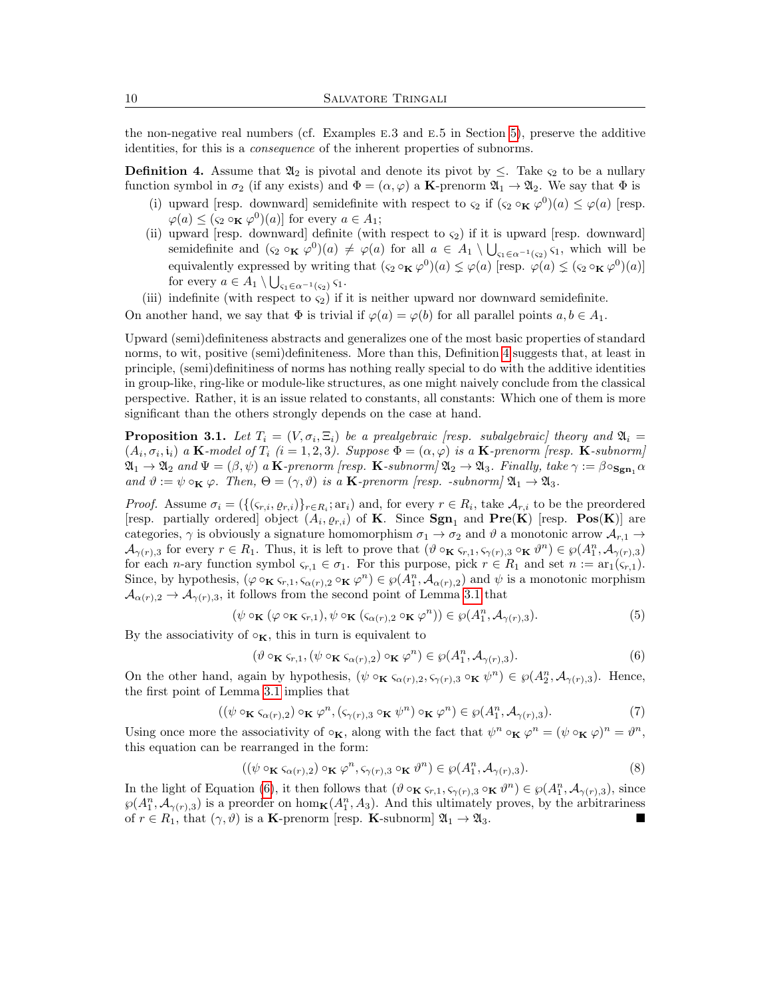the non-negative real numbers (cf. Examples e.3 and e.5 in Section [5\)](#page-12-0), preserve the additive identities, for this is a consequence of the inherent properties of subnorms.

<span id="page-9-1"></span>**Definition 4.** Assume that  $\mathfrak{A}_2$  is pivotal and denote its pivot by  $\leq$ . Take  $\varsigma_2$  to be a nullary function symbol in  $\sigma_2$  (if any exists) and  $\Phi = (\alpha, \varphi)$  a **K**-prenorm  $\mathfrak{A}_1 \to \mathfrak{A}_2$ . We say that  $\Phi$  is

- (i) upward [resp. downward] semidefinite with respect to  $\varsigma_2$  if  $(\varsigma_2 \circ_{\mathbf{K}} \varphi^0)(a) \leq \varphi(a)$  [resp.  $\varphi(a) \leq (\varsigma_2 \circ_{\mathbf{K}} \varphi^0)(a)$  for every  $a \in A_1$ ;
- (ii) upward [resp. downward] definite (with respect to  $\varsigma_2$ ) if it is upward [resp. downward] semidefinite and  $(\varsigma_2 \circ_{\mathbf{K}} \varphi^0)(a) \neq \varphi(a)$  for all  $a \in A_1 \setminus \bigcup_{\varsigma_1 \in \alpha^{-1}(\varsigma_2)} \varsigma_1$ , which will be equivalently expressed by writing that  $(\varsigma_2 \circ_{\mathbf{K}} \varphi^0)(a) \leq \varphi(a)$  [resp.  $\varphi(a) \leq (\varsigma_2 \circ_{\mathbf{K}} \varphi^0)(a)$ ] for every  $a \in A_1 \setminus \bigcup_{\varsigma_1 \in \alpha^{-1}(\varsigma_2)} \varsigma_1.$
- (iii) indefinite (with respect to  $\varsigma_2$ ) if it is neither upward nor downward semidefinite.

On another hand, we say that  $\Phi$  is trivial if  $\varphi(a) = \varphi(b)$  for all parallel points  $a, b \in A_1$ .

Upward (semi)definiteness abstracts and generalizes one of the most basic properties of standard norms, to wit, positive (semi)definiteness. More than this, Definition [4](#page-9-1) suggests that, at least in principle, (semi)definitiness of norms has nothing really special to do with the additive identities in group-like, ring-like or module-like structures, as one might naively conclude from the classical perspective. Rather, it is an issue related to constants, all constants: Which one of them is more significant than the others strongly depends on the case at hand.

<span id="page-9-0"></span>**Proposition 3.1.** Let  $T_i = (V, \sigma_i, \Xi_i)$  be a prealgebraic [resp. subalgebraic] theory and  $\mathfrak{A}_i =$  $(A_i, \sigma_i, \mathfrak{i}_i)$  a **K**-model of  $T_i$   $(i = 1, 2, 3)$ . Suppose  $\Phi = (\alpha, \varphi)$  is a **K**-prenorm [resp. **K**-subnorm]  $\mathfrak{A}_1 \to \mathfrak{A}_2$  and  $\Psi = (\beta, \psi)$  a **K**-prenorm [resp. **K**-subnorm]  $\mathfrak{A}_2 \to \mathfrak{A}_3$ . Finally, take  $\gamma := \beta \circ_{\mathbf{Sgn}_1} \alpha$ and  $\vartheta := \psi \circ_{\mathbf{K}} \varphi$ . Then,  $\Theta = (\gamma, \vartheta)$  is a **K**-prenorm [resp. -subnorm]  $\mathfrak{A}_1 \to \mathfrak{A}_3$ .

*Proof.* Assume  $\sigma_i = (\{(\varsigma_{r,i}, \varrho_{r,i})\}_{r \in R_i}; \text{ar}_i)$  and, for every  $r \in R_i$ , take  $\mathcal{A}_{r,i}$  to be the preordered [resp. partially ordered] object  $(A_i, \varrho_{r,i})$  of **K**. Since  $\text{Sgn}_1$  and  $\text{Pre}(K)$  [resp.  $\text{Pos}(K)$ ] are categories,  $\gamma$  is obviously a signature homomorphism  $\sigma_1 \to \sigma_2$  and  $\vartheta$  a monotonic arrow  $\mathcal{A}_{r,1} \to$  $\mathcal{A}_{\gamma(r),3}$  for every  $r \in R_1$ . Thus, it is left to prove that  $(\vartheta \circ_{\mathbf{K}} \varsigma_{r,1}, \varsigma_{\gamma(r),3} \circ_{\mathbf{K}} \vartheta^n) \in \wp(A_1^n, \mathcal{A}_{\gamma(r),3})$ for each n-ary function symbol  $\varsigma_{r,1} \in \sigma_1$ . For this purpose, pick  $r \in R_1$  and set  $n := \text{ar}_1(\varsigma_{r,1})$ . Since, by hypothesis,  $(\varphi \circ_{\mathbf{K}} \varsigma_{r,1}, \varsigma_{\alpha(r),2} \circ_{\mathbf{K}} \varphi^n) \in \wp(A_1^n, \mathcal{A}_{\alpha(r),2})$  and  $\psi$  is a monotonic morphism  $\mathcal{A}_{\alpha(r),2} \to \mathcal{A}_{\gamma(r),3}$ , it follows from the second point of Lemma [3.1](#page-7-0) that

$$
(\psi \circ_{\mathbf{K}} (\varphi \circ_{\mathbf{K}} \varsigma_{r,1}), \psi \circ_{\mathbf{K}} (\varsigma_{\alpha(r),2} \circ_{\mathbf{K}} \varphi^n)) \in \wp(A_1^n, \mathcal{A}_{\gamma(r),3}).
$$
\n(5)

By the associativity of  $\circ_{\mathbf{K}}$ , this in turn is equivalent to

<span id="page-9-2"></span>
$$
(\vartheta \circ_{\mathbf{K}} \varsigma_{r,1}, (\psi \circ_{\mathbf{K}} \varsigma_{\alpha(r),2}) \circ_{\mathbf{K}} \varphi^n) \in \wp(A_1^n, \mathcal{A}_{\gamma(r),3}).
$$
\n(6)

On the other hand, again by hypothesis,  $(\psi \circ_{\mathbf{K}} \zeta_{\alpha(r),2}, \zeta_{\gamma(r),3} \circ_{\mathbf{K}} \psi^n) \in \wp(A_2^n, \mathcal{A}_{\gamma(r),3})$ . Hence, the first point of Lemma [3.1](#page-7-0) implies that

$$
((\psi \circ_{\mathbf{K}} \varsigma_{\alpha(r),2}) \circ_{\mathbf{K}} \varphi^n, (\varsigma_{\gamma(r),3} \circ_{\mathbf{K}} \psi^n) \circ_{\mathbf{K}} \varphi^n) \in \wp(A_1^n, \mathcal{A}_{\gamma(r),3}).
$$
\n(7)

Using once more the associativity of  $\circ_{\mathbf{K}}$ , along with the fact that  $\psi^n \circ_{\mathbf{K}} \varphi^n = (\psi \circ_{\mathbf{K}} \varphi)^n = \vartheta^n$ , this equation can be rearranged in the form:

$$
((\psi \circ_{\mathbf{K}} \varsigma_{\alpha(r),2}) \circ_{\mathbf{K}} \varphi^n, \varsigma_{\gamma(r),3} \circ_{\mathbf{K}} \vartheta^n) \in \wp(A_1^n, \mathcal{A}_{\gamma(r),3}).
$$
\n(8)

In the light of Equation [\(6\)](#page-9-2), it then follows that  $(\vartheta \circ_{\mathbf{K}} \varsigma_{r,1}, \varsigma_{\gamma(r),3} \circ_{\mathbf{K}} \vartheta^n) \in \wp(A_1^n, \mathcal{A}_{\gamma(r),3})$ , since  $\wp(A_1^n, \mathcal{A}_{\gamma(r),3})$  is a preorder on hom $\mathbf{K}(A_1^n, A_3)$ . And this ultimately proves, by the arbitrariness of  $r \in R_1$ , that  $(\gamma, \vartheta)$  is a **K**-prenorm [resp. **K**-subnorm]  $\mathfrak{A}_1 \to \mathfrak{A}_3$ .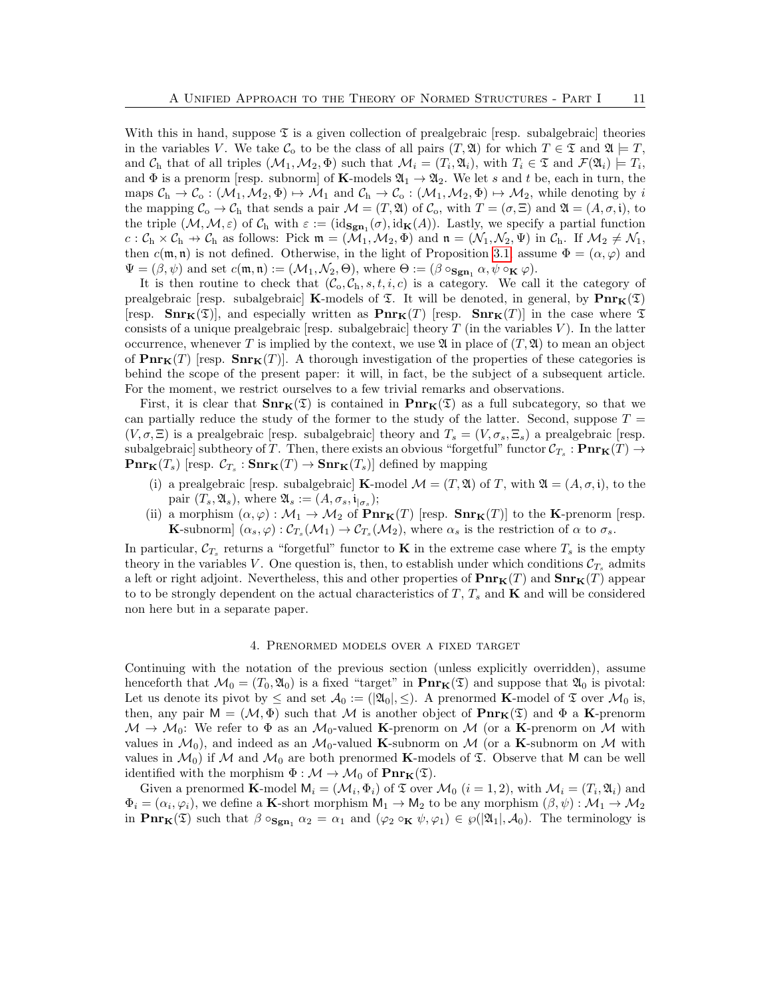With this in hand, suppose  $\mathfrak T$  is a given collection of prealgebraic [resp. subalgebraic] theories in the variables V. We take  $\mathcal{C}_0$  to be the class of all pairs  $(T, \mathfrak{A})$  for which  $T \in \mathfrak{T}$  and  $\mathfrak{A} \models T$ , and  $\mathcal{C}_{h}$  that of all triples  $(\mathcal{M}_{1}, \mathcal{M}_{2}, \Phi)$  such that  $\mathcal{M}_{i} = (T_{i}, \mathfrak{A}_{i}),$  with  $T_{i} \in \mathfrak{T}$  and  $\mathcal{F}(\mathfrak{A}_{i}) \models T_{i},$ and  $\Phi$  is a prenorm [resp. subnorm] of **K**-models  $\mathfrak{A}_1 \to \mathfrak{A}_2$ . We let s and t be, each in turn, the maps  $C_h \to C_o$  :  $(\mathcal{M}_1, \mathcal{M}_2, \Phi) \mapsto \mathcal{M}_1$  and  $C_h \to C_o$  :  $(\mathcal{M}_1, \mathcal{M}_2, \Phi) \mapsto \mathcal{M}_2$ , while denoting by i the mapping  $\mathcal{C}_{\text{o}} \to \mathcal{C}_{\text{h}}$  that sends a pair  $\mathcal{M} = (T, \mathfrak{A})$  of  $\mathcal{C}_{\text{o}}$ , with  $T = (\sigma, \Xi)$  and  $\mathfrak{A} = (A, \sigma, \mathfrak{i})$ , to the triple  $(M, M, \varepsilon)$  of  $C_h$  with  $\varepsilon := (id_{\mathbf{Sgn}_1}(\sigma), id_{\mathbf{K}}(A))$ . Lastly, we specify a partial function  $c : C_h \times C_h \to C_h$  as follows: Pick  $\mathfrak{m} = (\mathcal{M}_1, \mathcal{M}_2, \Phi)$  and  $\mathfrak{n} = (\mathcal{N}_1, \mathcal{N}_2, \Psi)$  in  $C_h$ . If  $\mathcal{M}_2 \neq \mathcal{N}_1$ , then  $c(\mathfrak{m}, \mathfrak{n})$  is not defined. Otherwise, in the light of Proposition [3.1,](#page-9-0) assume  $\Phi = (\alpha, \varphi)$  and  $\Psi = (\beta, \psi)$  and set  $c(\mathfrak{m}, \mathfrak{n}) := (\mathcal{M}_1, \mathcal{N}_2, \Theta)$ , where  $\Theta := (\beta \circ_{\mathbf{Sgn}_1} \alpha, \psi \circ_{\mathbf{K}} \varphi)$ .

It is then routine to check that  $(C_0, C_h, s, t, i, c)$  is a category. We call it the category of prealgebraic [resp. subalgebraic] **K**-models of  $\mathfrak{T}$ . It will be denoted, in general, by  $\text{Pnr}_{\mathbf{K}}(\mathfrak{T})$ [resp.  $\text{Snr}_{\mathbf{K}}(\mathfrak{T})$ ], and especially written as  $\text{Pnr}_{\mathbf{K}}(T)$  [resp.  $\text{Snr}_{\mathbf{K}}(T)$ ] in the case where  $\mathfrak{T}$ consists of a unique prealgebraic [resp. subalgebraic] theory  $T$  (in the variables  $V$ ). In the latter occurrence, whenever T is implied by the context, we use  $\mathfrak A$  in place of  $(T, \mathfrak A)$  to mean an object of  $\text{Pnr}_{\mathbf{K}}(T)$  [resp.  $\text{Snr}_{\mathbf{K}}(T)$ ]. A thorough investigation of the properties of these categories is behind the scope of the present paper: it will, in fact, be the subject of a subsequent article. For the moment, we restrict ourselves to a few trivial remarks and observations.

First, it is clear that  $\text{Snr}_{K}(\mathfrak{T})$  is contained in  $\text{Pnr}_{K}(\mathfrak{T})$  as a full subcategory, so that we can partially reduce the study of the former to the study of the latter. Second, suppose  $T =$  $(V, \sigma, \Xi)$  is a prealgebraic [resp. subalgebraic] theory and  $T_s = (V, \sigma_s, \Xi_s)$  a prealgebraic [resp. subalgebraic] subtheory of  $T.$  Then, there exists an obvious "forgetful" functor  $\mathcal{C}_{T_s}: \mathbf{Pnr}_\mathbf{K}(T) \to$  $\mathbf{Pnr}_{\mathbf{K}}(T_s)$  [resp.  $\mathcal{C}_{T_s}: \mathbf{Snr}_{\mathbf{K}}(T) \to \mathbf{Snr}_{\mathbf{K}}(T_s)$ ] defined by mapping

- (i) a prealgebraic [resp. subalgebraic] **K**-model  $\mathcal{M} = (T, \mathfrak{A})$  of T, with  $\mathfrak{A} = (A, \sigma, \mathfrak{i})$ , to the pair  $(T_s, \mathfrak{A}_s)$ , where  $\mathfrak{A}_s := (A, \sigma_s, \mathfrak{i}_{|\sigma_s})$ ;
- (ii) a morphism  $(\alpha, \varphi) : \mathcal{M}_1 \to \mathcal{M}_2$  of  $\text{Pnr}_{\mathbf{K}}(T)$  [resp.  $\text{Snr}_{\mathbf{K}}(T)$ ] to the **K**-prenorm [resp. **K**-subnorm]  $(\alpha_s, \varphi) : C_{T_s}(\mathcal{M}_1) \to C_{T_s}(\mathcal{M}_2)$ , where  $\alpha_s$  is the restriction of  $\alpha$  to  $\sigma_s$ .

In particular,  $\mathcal{C}_{T_s}$  returns a "forgetful" functor to **K** in the extreme case where  $T_s$  is the empty theory in the variables V. One question is, then, to establish under which conditions  $\mathcal{C}_{T_s}$  admits a left or right adjoint. Nevertheless, this and other properties of  $\text{Pnr}_{\mathbf{K}}(T)$  and  $\text{Snr}_{\mathbf{K}}(T)$  appear to to be strongly dependent on the actual characteristics of  $T$ ,  $T_s$  and  $\bf{K}$  and will be considered non here but in a separate paper.

# 4. Prenormed models over a fixed target

<span id="page-10-0"></span>Continuing with the notation of the previous section (unless explicitly overridden), assume henceforth that  $\mathcal{M}_0 = (T_0, \mathfrak{A}_0)$  is a fixed "target" in  $\text{Pnr}_K(\mathfrak{T})$  and suppose that  $\mathfrak{A}_0$  is pivotal: Let us denote its pivot by  $\leq$  and set  $\mathcal{A}_0 := (\mathfrak{A}_0, \leq)$ . A prenormed **K**-model of  $\mathfrak T$  over  $\mathcal{M}_0$  is, then, any pair  $M = (\mathcal{M}, \Phi)$  such that M is another object of  $\text{Pnr}_{\mathbf{K}}(\mathfrak{T})$  and  $\Phi$  a **K**-prenorm  $M \to M_0$ : We refer to  $\Phi$  as an  $M_0$ -valued **K**-prenorm on M (or a **K**-prenorm on M with values in  $\mathcal{M}_0$ , and indeed as an  $\mathcal{M}_0$ -valued **K**-subnorm on  $\mathcal{M}$  (or a **K**-subnorm on  $\mathcal{M}$  with values in  $\mathcal{M}_0$  if M and  $\mathcal{M}_0$  are both prenormed **K**-models of  $\mathfrak{T}$ . Observe that M can be well identified with the morphism  $\Phi : \mathcal{M} \to \mathcal{M}_0$  of  $\text{Pnr}_{\mathbf{K}}(\mathfrak{T})$ .

Given a prenormed **K**-model  $M_i = (M_i, \Phi_i)$  of  $\mathfrak T$  over  $M_0$   $(i = 1, 2)$ , with  $M_i = (T_i, \mathfrak A_i)$  and  $\Phi_i = (\alpha_i, \varphi_i)$ , we define a **K**-short morphism  $M_1 \to M_2$  to be any morphism  $(\beta, \psi) : M_1 \to M_2$ in  $\text{Pnr}_{\mathbf{K}}(\mathfrak{T})$  such that  $\beta \circ_{\text{Sgn}_1} \alpha_2 = \alpha_1$  and  $(\varphi_2 \circ_{\mathbf{K}} \psi, \varphi_1) \in \wp(|\mathfrak{A}_1|, \mathcal{A}_0)$ . The terminology is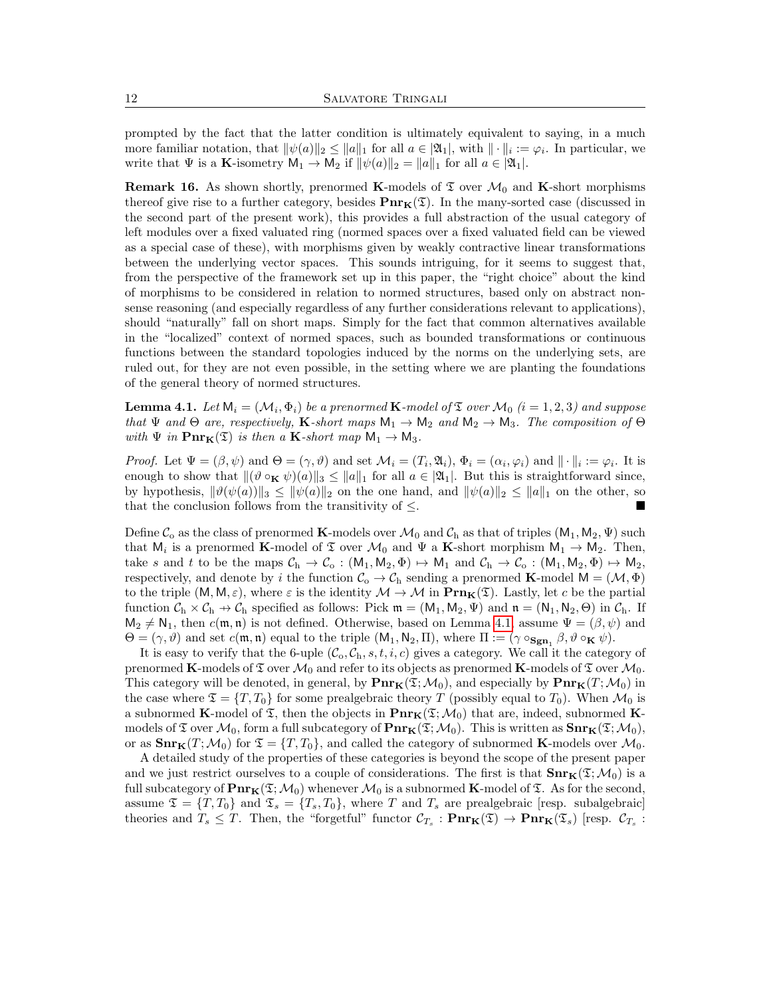prompted by the fact that the latter condition is ultimately equivalent to saying, in a much more familiar notation, that  $\|\psi(a)\|_2 \leq \|a\|_1$  for all  $a \in |\mathfrak{A}_1|$ , with  $\|\cdot\|_i := \varphi_i$ . In particular, we write that  $\Psi$  is a **K**-isometry  $M_1 \to M_2$  if  $\|\psi(a)\|_2 = \|a\|_1$  for all  $a \in \mathfrak{A}_1$ .

**Remark 16.** As shown shortly, prenormed K-models of  $\mathfrak T$  over  $\mathcal M_0$  and K-short morphisms thereof give rise to a further category, besides  $\text{Pnr}_{K}(\mathfrak{T})$ . In the many-sorted case (discussed in the second part of the present work), this provides a full abstraction of the usual category of left modules over a fixed valuated ring (normed spaces over a fixed valuated field can be viewed as a special case of these), with morphisms given by weakly contractive linear transformations between the underlying vector spaces. This sounds intriguing, for it seems to suggest that, from the perspective of the framework set up in this paper, the "right choice" about the kind of morphisms to be considered in relation to normed structures, based only on abstract nonsense reasoning (and especially regardless of any further considerations relevant to applications), should "naturally" fall on short maps. Simply for the fact that common alternatives available in the "localized" context of normed spaces, such as bounded transformations or continuous functions between the standard topologies induced by the norms on the underlying sets, are ruled out, for they are not even possible, in the setting where we are planting the foundations of the general theory of normed structures.

<span id="page-11-0"></span>**Lemma 4.1.** Let  $\mathsf{M}_i = (\mathcal{M}_i, \Phi_i)$  be a prenormed  $\mathbf{K}\text{-model}$  of  $\mathfrak{T}$  over  $\mathcal{M}_0$   $(i = 1, 2, 3)$  and suppose that  $\Psi$  and  $\Theta$  are, respectively, K-short maps  $M_1 \to M_2$  and  $M_2 \to M_3$ . The composition of  $\Theta$ with  $\Psi$  in  $\text{Pnr}_{\mathbf{K}}(\mathfrak{T})$  is then a **K**-short map  $M_1 \to M_3$ .

*Proof.* Let  $\Psi = (\beta, \psi)$  and  $\Theta = (\gamma, \vartheta)$  and set  $\mathcal{M}_i = (T_i, \mathfrak{A}_i)$ ,  $\Phi_i = (\alpha_i, \varphi_i)$  and  $\|\cdot\|_i := \varphi_i$ . It is enough to show that  $\|(\vartheta \circ_K \psi)(a)\|_3 \leq \|a\|_1$  for all  $a \in |\mathfrak{A}_1|$ . But this is straightforward since, by hypothesis,  $\|\vartheta(\psi(a))\|_3 \le \|\psi(a)\|_2$  on the one hand, and  $\|\psi(a)\|_2 \le \|a\|_1$  on the other, so that the conclusion follows from the transitivity of  $\leq$ .

Define  $\mathcal{C}_o$  as the class of prenormed **K**-models over  $\mathcal{M}_0$  and  $\mathcal{C}_h$  as that of triples  $(M_1, M_2, \Psi)$  such that  $M_i$  is a prenormed **K**-model of  $\mathfrak T$  over  $\mathcal M_0$  and  $\Psi$  a **K**-short morphism  $M_1 \to M_2$ . Then, take s and t to be the maps  $C_h \to C_o : (M_1, M_2, \Phi) \to M_1$  and  $C_h \to C_o : (M_1, M_2, \Phi) \to M_2$ , respectively, and denote by i the function  $\mathcal{C}_{\text{o}} \to \mathcal{C}_{\text{h}}$  sending a prenormed **K**-model  $M = (\mathcal{M}, \Phi)$ to the triple  $(M, M, \varepsilon)$ , where  $\varepsilon$  is the identity  $M \to M$  in  $\text{Prn}_{\mathbf{K}}(\mathfrak{T})$ . Lastly, let c be the partial function  $C_h \times C_h \to C_h$  specified as follows: Pick  $\mathfrak{m} = (M_1, M_2, \Psi)$  and  $\mathfrak{n} = (N_1, N_2, \Theta)$  in  $C_h$ . If  $M_2 \neq N_1$ , then  $c(\mathfrak{m}, \mathfrak{n})$  is not defined. Otherwise, based on Lemma [4.1,](#page-11-0) assume  $\Psi = (\beta, \psi)$  and  $\Theta = (\gamma, \vartheta)$  and set  $c(\mathfrak{m}, \mathfrak{n})$  equal to the triple  $(M_1, N_2, \Pi)$ , where  $\Pi := (\gamma \circ_{\mathbf{Sgn}_1} \beta, \vartheta \circ_{\mathbf{K}} \psi)$ .

It is easy to verify that the 6-uple  $(\mathcal{C}_{\alpha}, \mathcal{C}_{h}, s, t, i, c)$  gives a category. We call it the category of prenormed K-models of  $\mathfrak T$  over  $\mathcal M_0$  and refer to its objects as prenormed K-models of  $\mathfrak T$  over  $\mathcal M_0$ . This category will be denoted, in general, by  $\text{Pnr}_{\mathbf{K}}(\mathfrak{T};\mathcal{M}_0)$ , and especially by  $\text{Pnr}_{\mathbf{K}}(T;\mathcal{M}_0)$  in the case where  $\mathfrak{T} = \{T, T_0\}$  for some prealgebraic theory T (possibly equal to  $T_0$ ). When  $\mathcal{M}_0$  is a subnormed K-model of  $\mathfrak T$ , then the objects in  $\text{Pnr}_K(\mathfrak T;{\mathcal M}_0)$  that are, indeed, subnormed Kmodels of  $\mathfrak T$  over  $\mathcal M_0$ , form a full subcategory of  $\text{Pnr}_K(\mathfrak T; \mathcal M_0)$ . This is written as  $\text{Snr}_K(\mathfrak T; \mathcal M_0)$ , or as  $\text{Snr}_{\mathbf{K}}(T; \mathcal{M}_0)$  for  $\mathfrak{T} = \{T, T_0\}$ , and called the category of subnormed **K**-models over  $\mathcal{M}_0$ .

A detailed study of the properties of these categories is beyond the scope of the present paper and we just restrict ourselves to a couple of considerations. The first is that  $\text{Snr}_{\mathbf{K}}(\mathfrak{T};\mathcal{M}_0)$  is a full subcategory of  $\text{Pnr}_{\mathbf{K}}(\mathfrak{T};\mathcal{M}_0)$  whenever  $\mathcal{M}_0$  is a subnormed **K**-model of  $\mathfrak{T}$ . As for the second, assume  $\mathfrak{T} = \{T, T_0\}$  and  $\mathfrak{T}_s = \{T_s, T_0\}$ , where T and  $T_s$  are prealgebraic [resp. subalgebraic] theories and  $T_s \leq T$ . Then, the "forgetful" functor  $\mathcal{C}_{T_s} : \mathbf{Pnr}_{\mathbf{K}}(\mathfrak{T}) \to \mathbf{Pnr}_{\mathbf{K}}(\mathfrak{T}_s)$  [resp.  $\mathcal{C}_{T_s}$ :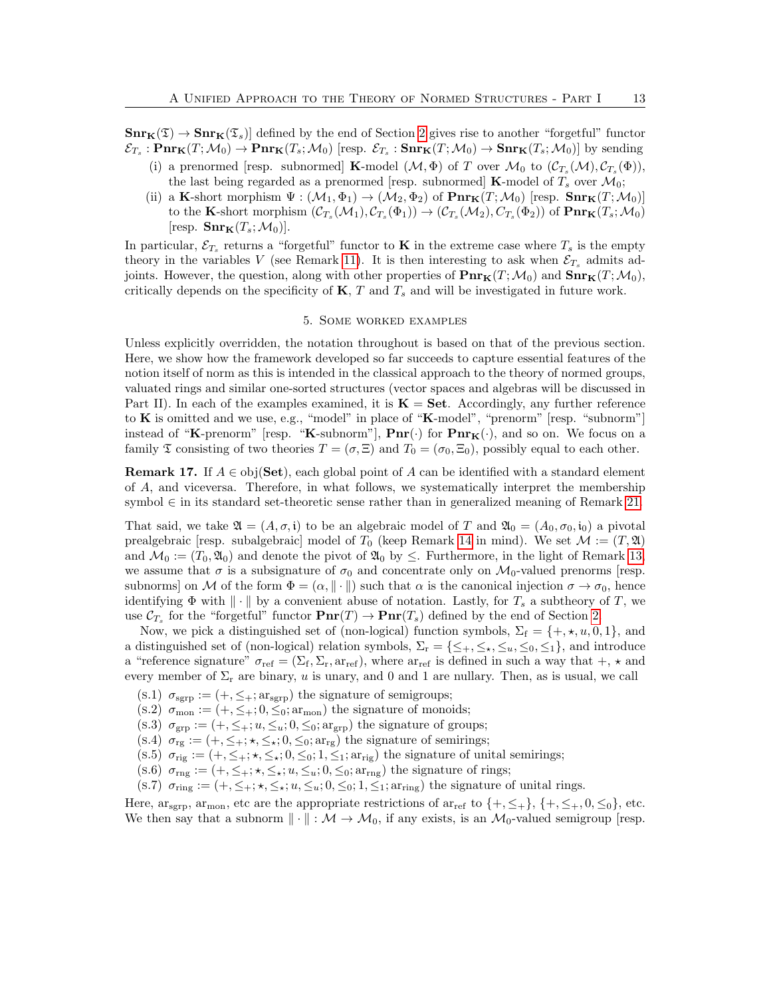$\text{Snr}_{\mathbf{K}}(\mathfrak{T}) \to \text{Snr}_{\mathbf{K}}(\mathfrak{T}_s)$  defined by the end of Section [2](#page-3-0) gives rise to another "forgetful" functor  $\mathcal{E}_{T_s}: \mathbf{Pnr}_{\mathbf{K}}(T; \mathcal{M}_0) \to \mathbf{Pnr}_{\mathbf{K}}(T_s; \mathcal{M}_0)$  [resp.  $\mathcal{E}_{T_s}: \mathbf{Snr}_{\mathbf{K}}(T; \mathcal{M}_0) \to \mathbf{Snr}_{\mathbf{K}}(T_s; \mathcal{M}_0)$ ] by sending

- (i) a prenormed [resp. subnormed] **K**-model  $(\mathcal{M}, \Phi)$  of T over  $\mathcal{M}_0$  to  $(\mathcal{C}_{T_s}(\mathcal{M}), \mathcal{C}_{T_s}(\Phi))$ , the last being regarded as a prenormed [resp. subnormed] **K**-model of  $T_s$  over  $\mathcal{M}_0$ ;
- (ii) a K-short morphism  $\Psi : (\mathcal{M}_1, \Phi_1) \to (\mathcal{M}_2, \Phi_2)$  of  $\text{Pnr}_K(T; \mathcal{M}_0)$  [resp.  $\text{Snr}_K(T; \mathcal{M}_0)$ ] to the K-short morphism  $(C_{T_s}(M_1), C_{T_s}(\Phi_1)) \to (C_{T_s}(M_2), C_{T_s}(\Phi_2))$  of  $\text{Pnr}_K(T_s; M_0)$ [resp.  $\text{Snr}_{\mathbf{K}}(T_s; \mathcal{M}_0)$ ].

In particular,  $\mathcal{E}_{T_s}$  returns a "forgetful" functor to **K** in the extreme case where  $T_s$  is the empty theory in the variables V (see Remark [11\)](#page-8-1). It is then interesting to ask when  $\mathcal{E}_{T_s}$  admits adjoints. However, the question, along with other properties of  $\text{Pnr}_{\mathbf{K}}(T;\mathcal{M}_0)$  and  $\text{Snr}_{\mathbf{K}}(T;\mathcal{M}_0)$ , critically depends on the specificity of  $K$ ,  $T$  and  $T_s$  and will be investigated in future work.

# 5. Some worked examples

<span id="page-12-0"></span>Unless explicitly overridden, the notation throughout is based on that of the previous section. Here, we show how the framework developed so far succeeds to capture essential features of the notion itself of norm as this is intended in the classical approach to the theory of normed groups, valuated rings and similar one-sorted structures (vector spaces and algebras will be discussed in Part II). In each of the examples examined, it is  $\mathbf{K} = \mathbf{Set}$ . Accordingly, any further reference to  $\bf{K}$  is omitted and we use, e.g., "model" in place of " $\bf{K}$ -model", "prenorm" [resp. "subnorm"] instead of "K-prenorm" [resp. "K-subnorm"],  $\text{Pnr}(\cdot)$  for  $\text{Pnr}_K(\cdot)$ , and so on. We focus on a family  $\mathfrak T$  consisting of two theories  $T = (\sigma, \Xi)$  and  $T_0 = (\sigma_0, \Xi_0)$ , possibly equal to each other.

**Remark 17.** If  $A \in obj(\mathbf{Set})$ , each global point of A can be identified with a standard element of A, and viceversa. Therefore, in what follows, we systematically interpret the membership symbol ∈ in its standard set-theoretic sense rather than in generalized meaning of Remark [21.](#page-16-2)

That said, we take  $\mathfrak{A} = (A, \sigma, \mathfrak{i})$  to be an algebraic model of T and  $\mathfrak{A}_0 = (A_0, \sigma_0, \mathfrak{i}_0)$  a pivotal prealgebraic [resp. subalgebraic] model of  $T_0$  (keep Remark [14](#page-8-2) in mind). We set  $\mathcal{M} := (T, \mathfrak{A})$ and  $\mathcal{M}_0 := (T_0, \mathfrak{A}_0)$  and denote the pivot of  $\mathfrak{A}_0$  by  $\leq$ . Furthermore, in the light of Remark [13,](#page-8-3) we assume that  $\sigma$  is a subsignature of  $\sigma_0$  and concentrate only on  $\mathcal{M}_0$ -valued prenorms [resp. subnorms] on M of the form  $\Phi = (\alpha, \|\cdot\|)$  such that  $\alpha$  is the canonical injection  $\sigma \to \sigma_0$ , hence identifying  $\Phi$  with  $\|\cdot\|$  by a convenient abuse of notation. Lastly, for  $T_s$  a subtheory of T, we use  $\mathcal{C}_{T_s}$  for the "forgetful" functor  $\mathbf{Pnr}(T) \to \mathbf{Pnr}(T_s)$  defined by the end of Section [2.](#page-3-0)

Now, we pick a distinguished set of (non-logical) function symbols,  $\Sigma_f = \{+, \star, u, 0, 1\}$ , and a distinguished set of (non-logical) relation symbols,  $\Sigma_r = \{\leq_+, \leq_*, \leq_0, \leq_1\}$ , and introduce a "reference signature"  $\sigma_{\text{ref}} = (\Sigma_f, \Sigma_r, \text{ar}_{\text{ref}})$ , where  $\text{ar}_{\text{ref}}$  is defined in such a way that  $+$ ,  $\star$  and every member of  $\Sigma_r$  are binary, u is unary, and 0 and 1 are nullary. Then, as is usual, we call

- (s.1)  $\sigma_{\rm sgrp} := (+, \leq_+; \arg_{\rm sgrp})$  the signature of semigroups;
- (s.2)  $\sigma_{\text{mon}} := (+, \leq_+; 0, \leq_0; \text{ar}_{\text{mon}})$  the signature of monoids;
- (s.3)  $\sigma_{\rm grp} := (+, \leq_+; u, \leq_u; 0, \leq_0; \text{arg}_{\text{rep}})$  the signature of groups;
- (s.4)  $\sigma_{rg} := (+, \leq_+; \star, \leq_\star; 0, \leq_0; \text{ar}_{rg})$  the signature of semirings;
- (s.5)  $\sigma_{\text{rig}} := (+,\leq_+;\star,\leq_\star;0,\leq_0;1,\leq_1;\text{ar}_{\text{rig}})$  the signature of unital semirings;
- (s.6)  $\sigma_{\text{rng}} := (+, \leq_+; \star, \leq_\star; u, \leq_u; 0, \leq_0; \text{array})$  the signature of rings;
- (s.7)  $\sigma_{\text{ring}} := (+, \leq_+; \star, \leq_\star; u, \leq_u; 0, \leq_0; 1, \leq_1; \text{array})$  the signature of unital rings.

Here,  $\arg \min_{\mathbf{x} \in \mathcal{X}} \mathbf{x}_{\text{mon}}$ , etc are the appropriate restrictions of  $\arg \min_{\mathbf{x} \in \mathcal{X}} \{+,-\}$ ,  $\{\pm, \pm, 0, \pm 0\}$ , etc. We then say that a subnorm  $\|\cdot\| : \mathcal{M} \to \mathcal{M}_0$ , if any exists, is an  $\mathcal{M}_0$ -valued semigroup [resp.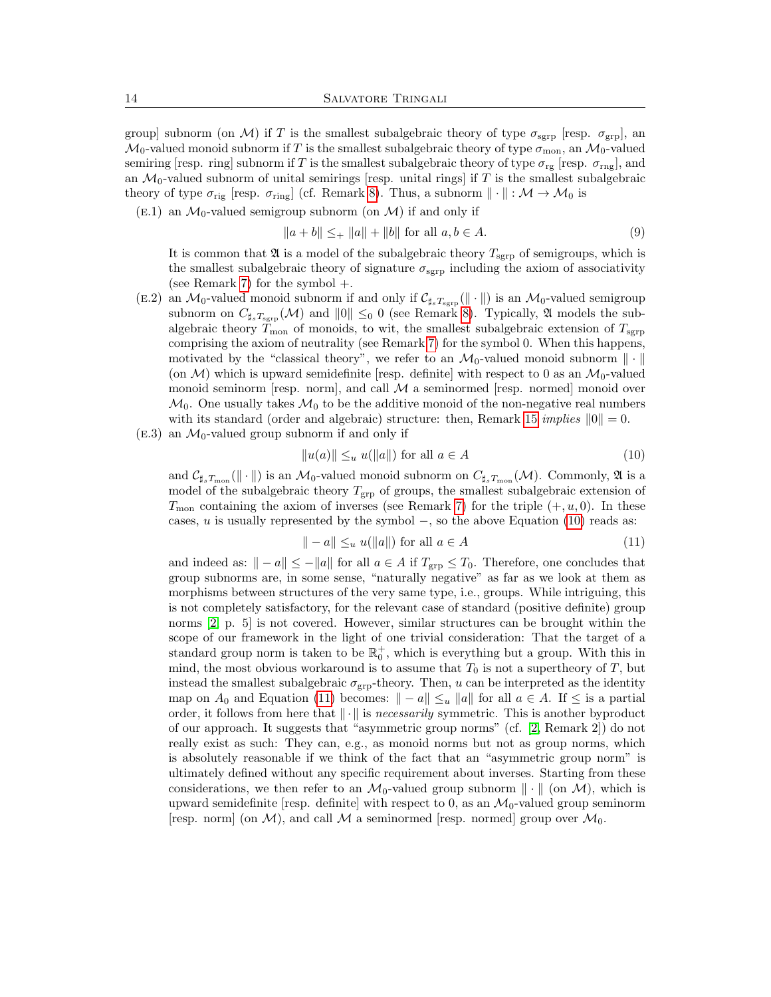group] subnorm (on M) if T is the smallest subalgebraic theory of type  $\sigma_{\rm sgrp}$  [resp.  $\sigma_{\rm grp}$ ], an  $\mathcal{M}_0$ -valued monoid subnorm if T is the smallest subalgebraic theory of type  $\sigma_{\text{mon}}$ , an  $\mathcal{M}_0$ -valued semiring [resp. ring] subnorm if T is the smallest subalgebraic theory of type  $\sigma_{rg}$  [resp.  $\sigma_{rng}$ ], and an  $\mathcal{M}_0$ -valued subnorm of unital semirings [resp. unital rings] if T is the smallest subalgebraic theory of type  $\sigma_{\text{rig}}$  [resp.  $\sigma_{\text{ring}}$ ] (cf. Remark [8\)](#page-7-1). Thus, a subnorm  $\|\cdot\| : \mathcal{M} \to \mathcal{M}_0$  is

 $(E.1)$  an  $\mathcal{M}_0$ -valued semigroup subnorm (on  $\mathcal{M}$ ) if and only if

$$
||a + b|| \leq_{+} ||a|| + ||b|| \text{ for all } a, b \in A.
$$
 (9)

It is common that  $\mathfrak A$  is a model of the subalgebraic theory  $T_{\rm sgrp}$  of semigroups, which is the smallest subalgebraic theory of signature  $\sigma_{\rm sgrp}$  including the axiom of associativity (see Remark [7\)](#page-6-0) for the symbol +.

- (E.2) an  $\mathcal{M}_0$ -valued monoid subnorm if and only if  $\mathcal{C}_{\sharp_sT_{\rm sgrp}}(\|\cdot\|)$  is an  $\mathcal{M}_0$ -valued semigroup subnorm on  $C_{\sharp_sT_\text{sgrp}}(\mathcal{M})$  and  $||0|| \leq_0 0$  (see Remark [8\)](#page-7-1). Typically,  $\mathfrak A$  models the subalgebraic theory  $T_{\rm mon}$  of monoids, to wit, the smallest subalgebraic extension of  $T_{\rm sgrp}$ comprising the axiom of neutrality (see Remark [7\)](#page-6-0) for the symbol 0. When this happens, motivated by the "classical theory", we refer to an  $\mathcal{M}_0$ -valued monoid subnorm  $\|\cdot\|$ (on  $M$ ) which is upward semidefinite [resp. definite] with respect to 0 as an  $M_0$ -valued monoid seminorm [resp. norm], and call  $\mathcal M$  a seminormed [resp. normed] monoid over  $\mathcal{M}_0$ . One usually takes  $\mathcal{M}_0$  to be the additive monoid of the non-negative real numbers with its standard (order and algebraic) structure: then, Remark [15](#page-8-4) *implies*  $||0|| = 0$ .
- $(E.3)$  an  $\mathcal{M}_0$ -valued group subnorm if and only if

<span id="page-13-0"></span>
$$
||u(a)|| \leq_u u(||a||) \text{ for all } a \in A
$$
\n
$$
(10)
$$

and  $\mathcal{C}_{\sharp_sT_{\rm mon}}(\|\cdot\|)$  is an  $\mathcal{M}_0$ -valued monoid subnorm on  $C_{\sharp_sT_{\rm mon}}(\mathcal{M})$ . Commonly,  $\mathfrak A$  is a model of the subalgebraic theory  $T_{\text{grp}}$  of groups, the smallest subalgebraic extension of  $T_{\text{mon}}$  containing the axiom of inverses (see Remark [7\)](#page-6-0) for the triple  $(+, u, 0)$ . In these cases, u is usually represented by the symbol  $-$ , so the above Equation [\(10\)](#page-13-0) reads as:

<span id="page-13-1"></span>
$$
\| -a \| \leq_u u(\|a\|) \text{ for all } a \in A
$$
\n<sup>(11)</sup>

and indeed as:  $\|-a\| \leq -\|a\|$  for all  $a \in A$  if  $T_{\rm grp} \leq T_0$ . Therefore, one concludes that group subnorms are, in some sense, "naturally negative" as far as we look at them as morphisms between structures of the very same type, i.e., groups. While intriguing, this is not completely satisfactory, for the relevant case of standard (positive definite) group norms [\[2,](#page-17-1) p. 5] is not covered. However, similar structures can be brought within the scope of our framework in the light of one trivial consideration: That the target of a standard group norm is taken to be  $\mathbb{R}_0^+$ , which is everything but a group. With this in mind, the most obvious workaround is to assume that  $T_0$  is not a supertheory of  $T$ , but instead the smallest subalgebraic  $\sigma_{\rm grp}$ -theory. Then, u can be interpreted as the identity map on  $A_0$  and Equation [\(11\)](#page-13-1) becomes:  $\|-a\| \leq_u \|a\|$  for all  $a \in A$ . If  $\leq$  is a partial order, it follows from here that  $\|\cdot\|$  is necessarily symmetric. This is another byproduct of our approach. It suggests that "asymmetric group norms" (cf. [\[2,](#page-17-1) Remark 2]) do not really exist as such: They can, e.g., as monoid norms but not as group norms, which is absolutely reasonable if we think of the fact that an "asymmetric group norm" is ultimately defined without any specific requirement about inverses. Starting from these considerations, we then refer to an  $\mathcal{M}_0$ -valued group subnorm  $\|\cdot\|$  (on  $\mathcal{M}$ ), which is upward semidefinite [resp. definite] with respect to 0, as an  $\mathcal{M}_0$ -valued group seminorm [resp. norm] (on M), and call M a seminormed [resp. normed] group over  $\mathcal{M}_0$ .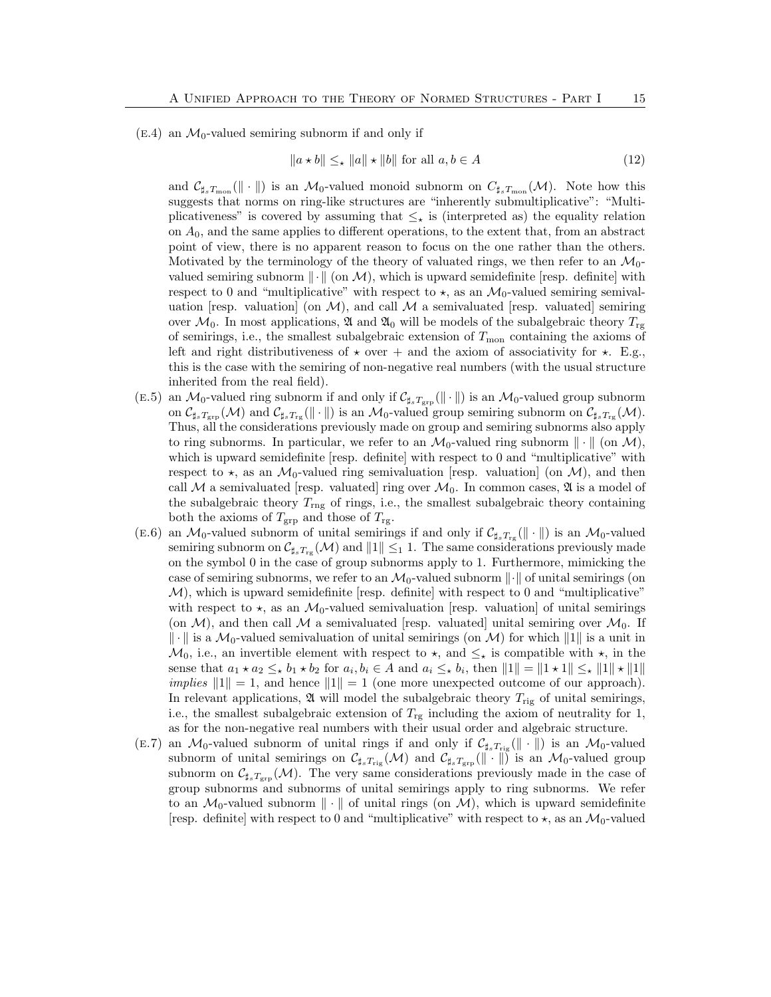$(E.4)$  an  $\mathcal{M}_0$ -valued semiring subnorm if and only if

$$
||a \star b|| \leq_{\star} ||a|| \star ||b|| \text{ for all } a, b \in A
$$
 (12)

and  $\mathcal{C}_{\sharp_s T_{\text{mon}}}(\|\cdot\|)$  is an  $\mathcal{M}_0$ -valued monoid subnorm on  $C_{\sharp_s T_{\text{mon}}}(\mathcal{M})$ . Note how this suggests that norms on ring-like structures are "inherently submultiplicative": "Multiplicativeness" is covered by assuming that  $\leq_{\star}$  is (interpreted as) the equality relation on  $A_0$ , and the same applies to different operations, to the extent that, from an abstract point of view, there is no apparent reason to focus on the one rather than the others. Motivated by the terminology of the theory of valuated rings, we then refer to an  $\mathcal{M}_0$ valued semiring subnorm  $\|\cdot\|$  (on M), which is upward semidefinite [resp. definite] with respect to 0 and "multiplicative" with respect to  $\star$ , as an  $\mathcal{M}_0$ -valued semiring semivaluation [resp. valuation] (on  $\mathcal{M}$ ), and call  $\mathcal M$  a semivaluated [resp. valuated] semiring over  $\mathcal{M}_0$ . In most applications,  $\mathfrak{A}$  and  $\mathfrak{A}_0$  will be models of the subalgebraic theory  $T_{\rm rg}$ of semirings, i.e., the smallest subalgebraic extension of  $T_{\text{mon}}$  containing the axioms of left and right distributiveness of  $\star$  over + and the axiom of associativity for  $\star$ . E.g., this is the case with the semiring of non-negative real numbers (with the usual structure inherited from the real field).

- (E.5) an  $\mathcal{M}_0$ -valued ring subnorm if and only if  $\mathcal{C}_{\sharp_sT_{\text{grp}}}(\|\cdot\|)$  is an  $\mathcal{M}_0$ -valued group subnorm on  $\mathcal{C}_{\sharp_sT_{\text{gp}}}(\mathcal{M})$  and  $\mathcal{C}_{\sharp_sT_{\text{rg}}}(\|\cdot\|)$  is an  $\mathcal{M}_0$ -valued group semiring subnorm on  $\mathcal{C}_{\sharp_sT_{\text{rg}}}(\mathcal{M})$ . Thus, all the considerations previously made on group and semiring subnorms also apply to ring subnorms. In particular, we refer to an  $\mathcal{M}_0$ -valued ring subnorm  $\|\cdot\|$  (on  $\mathcal{M}$ ), which is upward semidefinite [resp. definite] with respect to 0 and "multiplicative" with respect to  $\star$ , as an  $\mathcal{M}_0$ -valued ring semivaluation [resp. valuation] (on  $\mathcal{M}$ ), and then call M a semivaluated resp. valuated ring over  $\mathcal{M}_0$ . In common cases,  $\mathfrak{A}$  is a model of the subalgebraic theory  $T_{\text{rng}}$  of rings, i.e., the smallest subalgebraic theory containing both the axioms of  $T_{\rm grp}$  and those of  $T_{\rm rg}$ .
- (E.6) an  $\mathcal{M}_0$ -valued subnorm of unital semirings if and only if  $\mathcal{C}_{\sharp_s T_{\text{rg}}}(\|\cdot\|)$  is an  $\mathcal{M}_0$ -valued semiring subnorm on  $\mathcal{C}_{\sharp_s T_{\text{rg}}}(\mathcal{M})$  and  $||1|| \leq_1 1$ . The same considerations previously made on the symbol 0 in the case of group subnorms apply to 1. Furthermore, mimicking the case of semiring subnorms, we refer to an  $\mathcal{M}_0$ -valued subnorm  $\|\cdot\|$  of unital semirings (on  $M$ , which is upward semidefinite [resp. definite] with respect to 0 and "multiplicative" with respect to  $\star$ , as an  $\mathcal{M}_0$ -valued semivaluation [resp. valuation] of unital semirings (on  $\mathcal{M}$ ), and then call  $\mathcal M$  a semivaluated [resp. valuated] unital semiring over  $\mathcal{M}_0$ . If  $\|\cdot\|$  is a  $\mathcal{M}_0$ -valued semivaluation of unital semirings (on M) for which  $\|1\|$  is a unit in  $\mathcal{M}_0$ , i.e., an invertible element with respect to  $\star$ , and  $\leq_{\star}$  is compatible with  $\star$ , in the sense that  $a_1 \star a_2 \leq_{\star} b_1 \star b_2$  for  $a_i, b_i \in A$  and  $a_i \leq_{\star} b_i$ , then  $||1|| = ||1 \star 1|| \leq_{\star} ||1|| \star ||1||$ implies  $||1|| = 1$ , and hence  $||1|| = 1$  (one more unexpected outcome of our approach). In relevant applications,  $\mathfrak A$  will model the subalgebraic theory  $T_{\text{rig}}$  of unital semirings, i.e., the smallest subalgebraic extension of  $T_{\rm rg}$  including the axiom of neutrality for 1, as for the non-negative real numbers with their usual order and algebraic structure.
- (E.7) an  $\mathcal{M}_0$ -valued subnorm of unital rings if and only if  $C_{\sharp_sT_{\text{rig}}}(\Vert \cdot \Vert)$  is an  $\mathcal{M}_0$ -valued subnorm of unital semirings on  $\mathcal{C}_{\sharp_sT_{\text{rig}}}(\mathcal{M})$  and  $\mathcal{C}_{\sharp_sT_{\text{grp}}}(\|\cdot\|)$  is an  $\mathcal{M}_0$ -valued group subnorm on  $\mathcal{C}_{\sharp_sT_{\text{grp}}}(\mathcal{M})$ . The very same considerations previously made in the case of group subnorms and subnorms of unital semirings apply to ring subnorms. We refer to an  $\mathcal{M}_0$ -valued subnorm  $\|\cdot\|$  of unital rings (on  $\mathcal{M}$ ), which is upward semidefinite [resp. definite] with respect to 0 and "multiplicative" with respect to  $\star$ , as an  $\mathcal{M}_0$ -valued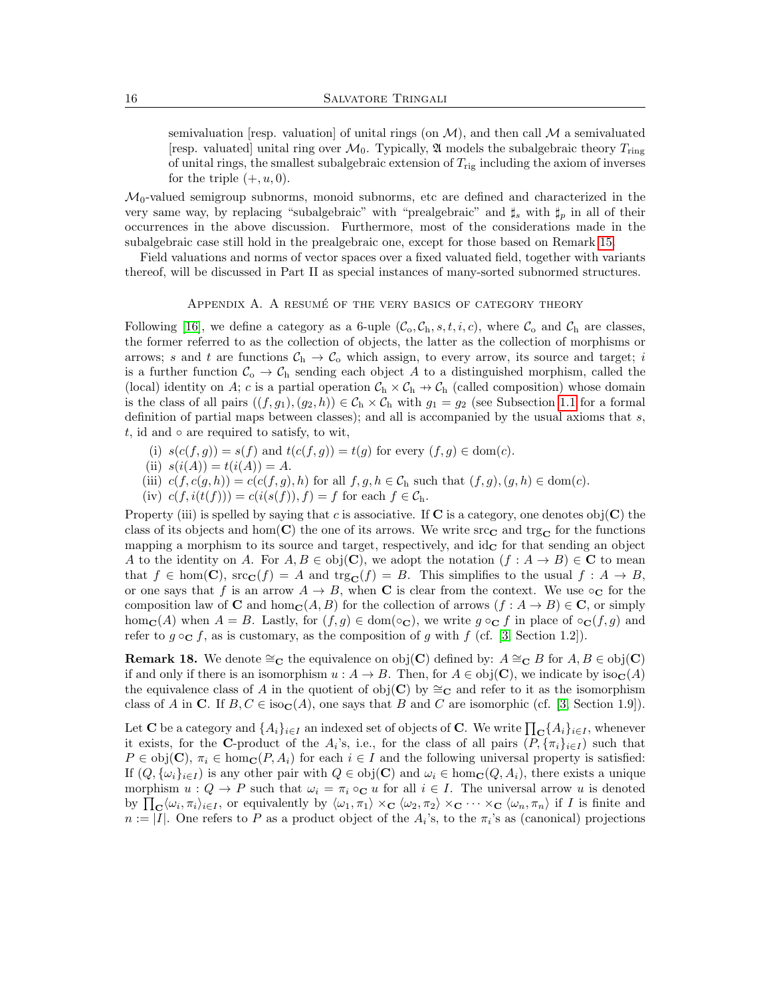semivaluation [resp. valuation] of unital rings (on  $\mathcal{M}$ ), and then call  $\mathcal{M}$  a semivaluated [resp. valuated] unital ring over  $\mathcal{M}_0$ . Typically,  $\mathfrak A$  models the subalgebraic theory  $T_{\text{ring}}$ of unital rings, the smallest subalgebraic extension of  $T_{\text{rig}}$  including the axiom of inverses for the triple  $(+, u, 0)$ .

 $\mathcal{M}_0$ -valued semigroup subnorms, monoid subnorms, etc are defined and characterized in the very same way, by replacing "subalgebraic" with "prealgebraic" and  $\sharp_s$  with  $\sharp_p$  in all of their occurrences in the above discussion. Furthermore, most of the considerations made in the subalgebraic case still hold in the prealgebraic one, except for those based on Remark [15.](#page-8-4)

Field valuations and norms of vector spaces over a fixed valuated field, together with variants thereof, will be discussed in Part II as special instances of many-sorted subnormed structures.

# APPENDIX A. A RESUMÉ OF THE VERY BASICS OF CATEGORY THEORY

<span id="page-15-0"></span>Following [\[16\]](#page-18-8), we define a category as a 6-uple  $(C_0, C_h, s, t, i, c)$ , where  $C_0$  and  $C_h$  are classes, the former referred to as the collection of objects, the latter as the collection of morphisms or arrows; s and t are functions  $C_h \rightarrow C_o$  which assign, to every arrow, its source and target; i is a further function  $C_{o} \to C_{h}$  sending each object A to a distinguished morphism, called the (local) identity on A; c is a partial operation  $C_h \times C_h \rightarrow C_h$  (called composition) whose domain is the class of all pairs  $((f, g_1), (g_2, h)) \in C_h \times C_h$  with  $g_1 = g_2$  (see Subsection [1.1](#page-3-1) for a formal definition of partial maps between classes); and all is accompanied by the usual axioms that  $s$ , t, id and  $\circ$  are required to satisfy, to wit,

- (i)  $s(c(f,g)) = s(f)$  and  $t(c(f,g)) = t(g)$  for every  $(f,g) \in \text{dom}(c)$ .
- (ii)  $s(i(A)) = t(i(A)) = A$ .
- (iii)  $c(f, c(g, h)) = c(c(f, g), h)$  for all  $f, g, h \in C_h$  such that  $(f, g), (g, h) \in dom(c)$ .
- (iv)  $c(f, i(t(f))) = c(i(s(f)), f) = f$  for each  $f \in C_h$ .

Property (iii) is spelled by saying that c is associative. If  $C$  is a category, one denotes obj $(C)$  the class of its objects and hom( $\bf{C}$ ) the one of its arrows. We write src $\bf{C}$  and trg $\bf{C}$  for the functions mapping a morphism to its source and target, respectively, and  $id_{\mathbf{C}}$  for that sending an object A to the identity on A. For  $A, B \in \text{obj}(\mathbf{C})$ , we adopt the notation  $(f : A \to B) \in \mathbf{C}$  to mean that  $f \in \text{hom}(\mathbf{C})$ ,  $\text{src}_{\mathbf{C}}(f) = A$  and  $\text{tr}_{\mathbf{S}_{\mathbf{C}}}(f) = B$ . This simplifies to the usual  $f : A \to B$ , or one says that f is an arrow  $A \to B$ , when C is clear from the context. We use  $\circ_{\mathbf{C}}$  for the composition law of C and hom<sub>C</sub>(A, B) for the collection of arrows  $(f: A \to B) \in \mathbb{C}$ , or simply hom<sub>C</sub>(A) when  $A = B$ . Lastly, for  $(f, g) \in \text{dom}(\circ_{\mathbf{C}})$ , we write  $g \circ_{\mathbf{C}} f$  in place of  $\circ_{\mathbf{C}} (f, g)$  and refer to  $g \circ_{\mathbf{C}} f$ , as is customary, as the composition of g with f (cf. [\[3,](#page-17-5) Section 1.2]).

**Remark 18.** We denote  $\cong_{\mathbf{C}}$  the equivalence on obj(**C**) defined by:  $A \cong_{\mathbf{C}} B$  for  $A, B \in \text{obj}(\mathbf{C})$ if and only if there is an isomorphism  $u : A \to B$ . Then, for  $A \in obj(\mathbf{C})$ , we indicate by  $iso_{\mathbf{C}}(A)$ the equivalence class of A in the quotient of obj(C) by  $\cong_{\mathbf{C}}$  and refer to it as the isomorphism class of A in C. If  $B, C \in iso<sub>C</sub>(A)$ , one says that B and C are isomorphic (cf. [\[3,](#page-17-5) Section 1.9]).

Let  ${\bf C}$  be a category and  $\{A_i\}_{i\in I}$  an indexed set of objects of  ${\bf C}$ . We write  $\prod_{\bf C} \{A_i\}_{i\in I}$ , whenever it exists, for the C-product of the  $A_i$ 's, i.e., for the class of all pairs  $(P, {\{\pi_i\}}_{i\in I})$  such that  $P \in obj(\mathbf{C}), \pi_i \in hom_{\mathbf{C}}(P, A_i)$  for each  $i \in I$  and the following universal property is satisfied: If  $(Q, {\{\omega_i\}}_{i\in I})$  is any other pair with  $Q \in obj(\mathbf{C})$  and  $\omega_i \in hom_{\mathbf{C}}(Q, A_i)$ , there exists a unique morphism  $u: Q \to P$  such that  $\omega_i = \pi_i \circ_{\mathbf{C}} u$  for all  $i \in I$ . The universal arrow u is denoted by  $\prod_{\mathbf{C}} \langle \omega_i, \pi_i \rangle_{i \in I}$ , or equivalently by  $\langle \omega_1, \pi_1 \rangle \times_{\mathbf{C}} \langle \omega_2, \pi_2 \rangle \times_{\mathbf{C}} \cdots \times_{\mathbf{C}} \langle \omega_n, \pi_n \rangle$  if I is finite and  $n := |I|$ . One refers to P as a product object of the  $A_i$ 's, to the  $\pi_i$ 's as (canonical) projections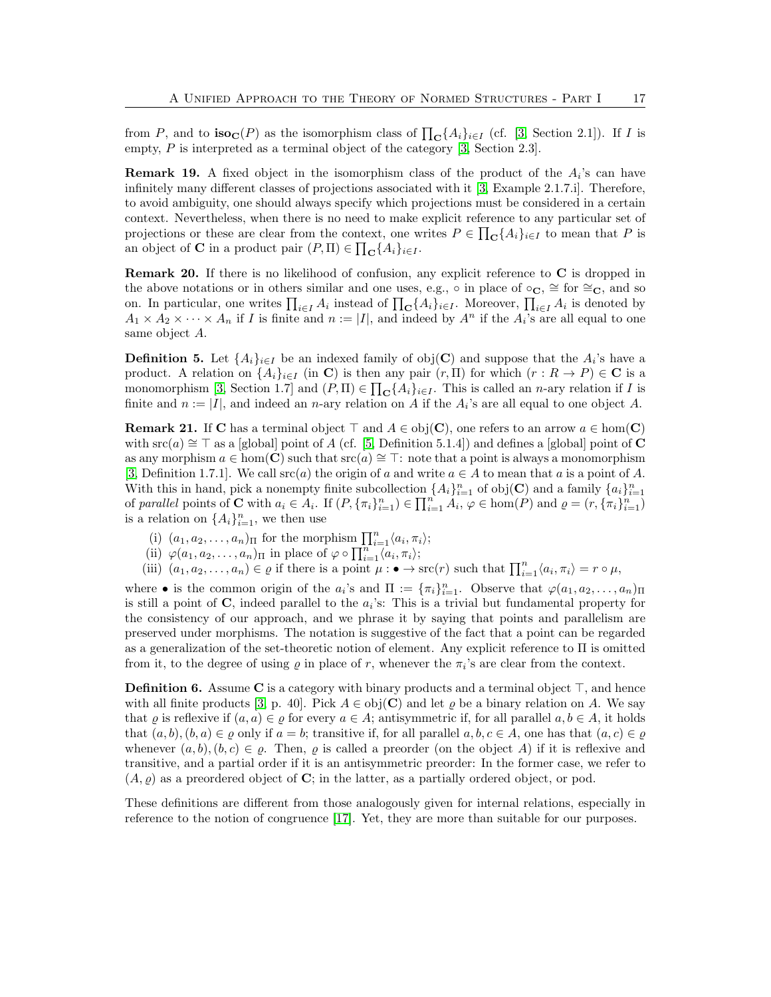from P, and to  $\mathbf{iso}_{\mathbf{C}}(P)$  as the isomorphism class of  $\prod_{\mathbf{C}}\{A_i\}_{i\in I}$  (cf. [\[3,](#page-17-5) Section 2.1]). If I is empty, P is interpreted as a terminal object of the category [\[3,](#page-17-5) Section 2.3].

<span id="page-16-0"></span>**Remark 19.** A fixed object in the isomorphism class of the product of the  $A_i$ 's can have infinitely many different classes of projections associated with it [\[3,](#page-17-5) Example 2.1.7.i]. Therefore, to avoid ambiguity, one should always specify which projections must be considered in a certain context. Nevertheless, when there is no need to make explicit reference to any particular set of projections or these are clear from the context, one writes  $P \in \prod_{\mathbf{C}} \{A_i\}_{i \in I}$  to mean that P is an object of **C** in a product pair  $(P, \Pi) \in \prod_{\mathbf{C}} \{A_i\}_{i \in I}$ .

Remark 20. If there is no likelihood of confusion, any explicit reference to C is dropped in the above notations or in others similar and one uses, e.g., ∘ in place of ∘ $\mathbf{c}$ ,  $\cong$  for  $\cong_{\mathbf{C}}$ , and so on. In particular, one writes  $\prod_{i\in I} A_i$  instead of  $\prod_{\mathbf{C}} \{A_i\}_{i\in I}$ . Moreover,  $\prod_{i\in I} A_i$  is denoted by  $A_1 \times A_2 \times \cdots \times A_n$  if I is finite and  $n := |I|$ , and indeed by  $A^n$  if the  $A_i$ 's are all equal to one same object A.

<span id="page-16-1"></span>**Definition 5.** Let  $\{A_i\}_{i\in I}$  be an indexed family of obj(C) and suppose that the  $A_i$ 's have a product. A relation on  $\{A_i\}_{i\in I}$  (in C) is then any pair  $(r, \Pi)$  for which  $(r: R \to P) \in \mathbb{C}$  is a monomorphism [\[3,](#page-17-5) Section 1.7] and  $(P, \Pi) \in \prod_{\mathbf{C}} \{A_i\}_{i \in I}$ . This is called an *n*-ary relation if *I* is finite and  $n := |I|$ , and indeed an *n*-ary relation on A if the  $A_i$ 's are all equal to one object A.

<span id="page-16-2"></span>**Remark 21.** If C has a terminal object  $\top$  and  $A \in ob<sub>i</sub>(C)$ , one refers to an arrow  $a \in hom(C)$ with  $src(a) \cong \top$  as a [global] point of A (cf. [\[5,](#page-17-6) Definition 5.1.4]) and defines a [global] point of C as any morphism  $a \in \text{hom}(\mathbb{C})$  such that  $\text{src}(a) \cong \top$ : note that a point is always a monomorphism [\[3,](#page-17-5) Definition 1.7.1]. We call src(a) the origin of a and write  $a \in A$  to mean that a is a point of A. With this in hand, pick a nonempty finite subcollection  $\{A_i\}_{i=1}^n$  of  $obj(\mathbf{C})$  and a family  $\{a_i\}_{i=1}^n$ of parallel points of **C** with  $a_i \in A_i$ . If  $(P, \{\pi_i\}_{i=1}^n) \in \prod_{i=1}^n A_i$ ,  $\varphi \in \text{hom}(P)$  and  $\varrho = (r, \{\pi_i\}_{i=1}^n)$ is a relation on  $\{A_i\}_{i=1}^n$ , we then use

- (i)  $(a_1, a_2, \ldots, a_n)$ <sub>II</sub> for the morphism  $\prod_{i=1}^n \langle a_i, \pi_i \rangle$ ;
- (ii)  $\varphi(a_1, a_2, \ldots, a_n)_{\Pi}$  in place of  $\varphi \circ \prod_{i=1}^{n} \langle a_i, \pi_i \rangle$ ;
- (iii)  $(a_1, a_2, \ldots, a_n) \in \varrho$  if there is a point  $\mu : \bullet \to \text{src}(r)$  such that  $\prod_{i=1}^n \langle a_i, \pi_i \rangle = r \circ \mu$ ,

where • is the common origin of the  $a_i$ 's and  $\Pi := {\{\pi_i\}}_{i=1}^n$ . Observe that  $\varphi(a_1, a_2, \ldots, a_n)_{\Pi}$ is still a point of  $\mathbf C$ , indeed parallel to the  $a_i$ 's: This is a trivial but fundamental property for the consistency of our approach, and we phrase it by saying that points and parallelism are preserved under morphisms. The notation is suggestive of the fact that a point can be regarded as a generalization of the set-theoretic notion of element. Any explicit reference to Π is omitted from it, to the degree of using  $\varrho$  in place of r, whenever the  $\pi_i$ 's are clear from the context.

<span id="page-16-3"></span>**Definition 6.** Assume C is a category with binary products and a terminal object  $\top$ , and hence with all finite products [\[3,](#page-17-5) p. 40]. Pick  $A \in obj(\mathbf{C})$  and let  $\rho$  be a binary relation on A. We say that  $\varrho$  is reflexive if  $(a, a) \in \varrho$  for every  $a \in A$ ; antisymmetric if, for all parallel  $a, b \in A$ , it holds that  $(a, b), (b, a) \in \varrho$  only if  $a = b$ ; transitive if, for all parallel  $a, b, c \in A$ , one has that  $(a, c) \in \varrho$ whenever  $(a, b), (b, c) \in \varrho$ . Then,  $\varrho$  is called a preorder (on the object A) if it is reflexive and transitive, and a partial order if it is an antisymmetric preorder: In the former case, we refer to  $(A, \varrho)$  as a preordered object of C; in the latter, as a partially ordered object, or pod.

These definitions are different from those analogously given for internal relations, especially in reference to the notion of congruence [\[17\]](#page-18-9). Yet, they are more than suitable for our purposes.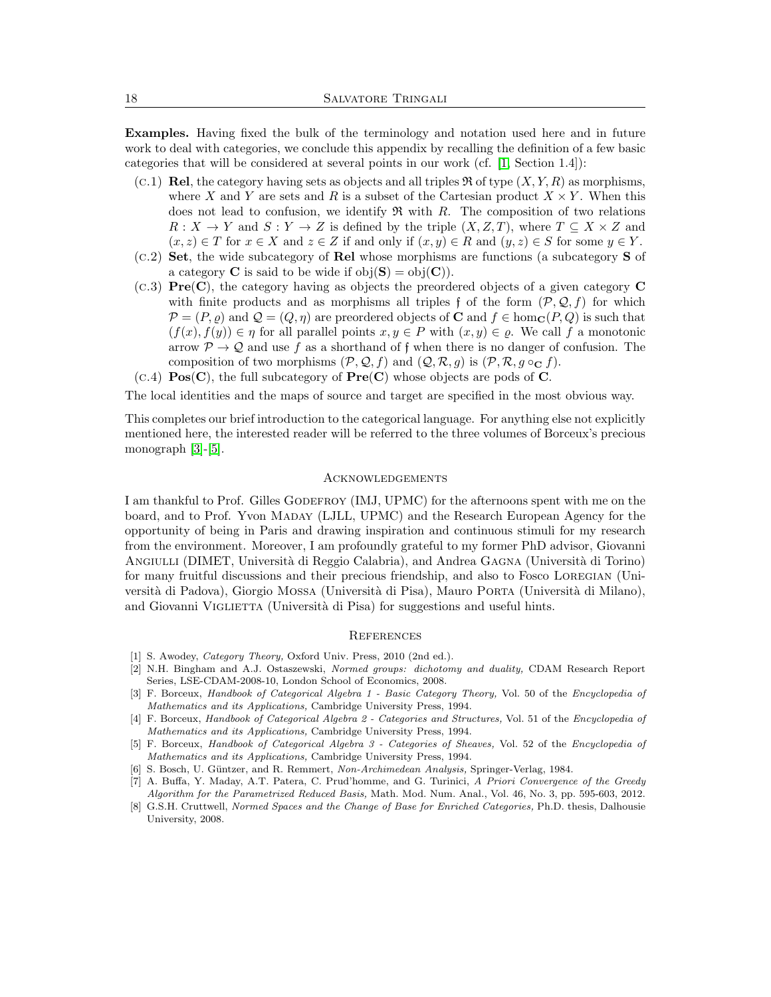Examples. Having fixed the bulk of the terminology and notation used here and in future work to deal with categories, we conclude this appendix by recalling the definition of a few basic categories that will be considered at several points in our work (cf. [\[1,](#page-17-4) Section 1.4]):

- $(c.1)$  **Rel**, the category having sets as objects and all triples  $\Re$  of type  $(X, Y, R)$  as morphisms, where X and Y are sets and R is a subset of the Cartesian product  $X \times Y$ . When this does not lead to confusion, we identify  $\mathfrak{R}$  with  $R$ . The composition of two relations  $R: X \to Y$  and  $S: Y \to Z$  is defined by the triple  $(X, Z, T)$ , where  $T \subseteq X \times Z$  and  $(x, z) \in T$  for  $x \in X$  and  $z \in Z$  if and only if  $(x, y) \in R$  and  $(y, z) \in S$  for some  $y \in Y$ .
- $(c.2)$  Set, the wide subcategory of Rel whose morphisms are functions (a subcategory S of a category **C** is said to be wide if  $obj(S) = obj(C)$ .
- (c.3) Pre(C), the category having as objects the preordered objects of a given category C with finite products and as morphisms all triples f of the form  $(\mathcal{P}, \mathcal{Q}, f)$  for which  $\mathcal{P} = (P, \rho)$  and  $\mathcal{Q} = (Q, \eta)$  are preordered objects of **C** and  $f \in \text{hom}_{\mathbb{C}}(P, Q)$  is such that  $(f(x), f(y)) \in \eta$  for all parallel points  $x, y \in P$  with  $(x, y) \in \varrho$ . We call f a monotonic arrow  $P \to Q$  and use f as a shorthand of f when there is no danger of confusion. The composition of two morphisms  $(\mathcal{P}, \mathcal{Q}, f)$  and  $(\mathcal{Q}, \mathcal{R}, g)$  is  $(\mathcal{P}, \mathcal{R}, g \circ_{\mathbf{C}} f)$ .
- $(C.4)$  **Pos(C)**, the full subcategory of **Pre(C)** whose objects are pods of **C**.

The local identities and the maps of source and target are specified in the most obvious way.

This completes our brief introduction to the categorical language. For anything else not explicitly mentioned here, the interested reader will be referred to the three volumes of Borceux's precious monograph [\[3\]](#page-17-5)-[\[5\]](#page-17-6).

# **ACKNOWLEDGEMENTS**

I am thankful to Prof. Gilles GODEFROY (IMJ, UPMC) for the afternoons spent with me on the board, and to Prof. Yvon Maday (LJLL, UPMC) and the Research European Agency for the opportunity of being in Paris and drawing inspiration and continuous stimuli for my research from the environment. Moreover, I am profoundly grateful to my former PhD advisor, Giovanni ANGIULLI (DIMET, Università di Reggio Calabria), and Andrea GAGNA (Università di Torino) for many fruitful discussions and their precious friendship, and also to Fosco Loregian (Universit`a di Padova), Giorgio Mossa (Universit`a di Pisa), Mauro Porta (Universit`a di Milano), and Giovanni VIGLIETTA (Università di Pisa) for suggestions and useful hints.

# **REFERENCES**

- <span id="page-17-4"></span>[1] S. Awodey, *Category Theory*, Oxford Univ. Press, 2010 (2nd ed.).
- <span id="page-17-1"></span>[2] N.H. Bingham and A.J. Ostaszewski, Normed groups: dichotomy and duality, CDAM Research Report Series, LSE-CDAM-2008-10, London School of Economics, 2008.
- <span id="page-17-5"></span>[3] F. Borceux, Handbook of Categorical Algebra 1 - Basic Category Theory, Vol. 50 of the Encyclopedia of Mathematics and its Applications, Cambridge University Press, 1994.
- [4] F. Borceux, Handbook of Categorical Algebra 2 Categories and Structures, Vol. 51 of the Encyclopedia of Mathematics and its Applications, Cambridge University Press, 1994.
- <span id="page-17-6"></span>[5] F. Borceux, Handbook of Categorical Algebra 3 - Categories of Sheaves, Vol. 52 of the Encyclopedia of Mathematics and its Applications, Cambridge University Press, 1994.
- <span id="page-17-0"></span>[6] S. Bosch, U. Güntzer, and R. Remmert, Non-Archimedean Analysis, Springer-Verlag, 1984.
- <span id="page-17-2"></span>[7] A. Buffa, Y. Maday, A.T. Patera, C. Prud'homme, and G. Turinici, A Priori Convergence of the Greedy Algorithm for the Parametrized Reduced Basis, Math. Mod. Num. Anal., Vol. 46, No. 3, pp. 595-603, 2012.
- <span id="page-17-3"></span>[8] G.S.H. Cruttwell, *Normed Spaces and the Change of Base for Enriched Categories*, Ph.D. thesis, Dalhousie University, 2008.